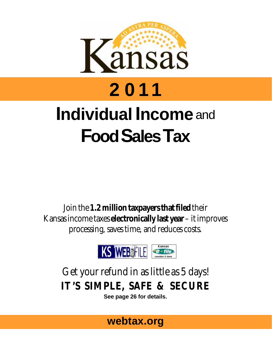

# **2011 Individual Income** and **FoodSalesTax**

Join the **1.2 million taxpayers that filed** their Kansas income taxes **electronically last year** – it improves processing, saves time, and reduces costs.



## Get your refund in as little as 5 days! **IT'S SIMPLE, SAFE & SECURE**

**See page 26 for details.** 

## **webtax.org**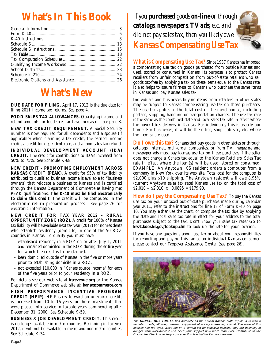## **What's In This Book**

## **What's New**

**DUE DATE FOR FILING.** April 17, 2012 is the due date for filing 2011 income tax returns. See page 4.

**FOOD SALES TAX ALLOWANCES.** Qualifying income and refund amounts for food sales tax have increased – see page 8.

**NEW TAX CREDIT REQUIREMENT.** A Social Security number is now required for all dependents and a spouse (if applicable) when claiming a tax credit, the earned income credit, a credit for dependent care, and a food sales tax refund.

**INDIVIDUAL DEVELOPMENT ACCOUNT (IDA) CREDIT.** The credit for contributions to IDAs increased from 50% to 75%. See Schedule K-68.

**NEW CREDIT – PROMOTING EMPLOYMENT ACROSS KANSAS CREDIT (PEAK).** A credit for 95% of tax liability attributed to qualified business income is available to "business owners" that relocate a business to Kansas and is certified through the Kansas Department of Commerce as having met PEAK qualifications. **The K-40 must be filed electronically to claim this credit**. The credit will be computed in the electronic return preparation process – see page 26 for electronic information.

 **NEW CREDIT FOR TAX YEAR 2012 – RURAL OPPORTUNITY ZONE (ROZ).** A credit for 100% of Kansas tax liability will be available next tax year (2012) for nonresidents who establish residency (domicile) in one of the 50 ROZ counties in Kansas. To qualify you must have:

- established residency in a ROZ on or after July 1, 2011 and remained domiciled in the ROZ during the **entire** year for which the credit is to be claimed.
- been domiciled outside of Kansas in the five or more years prior to establishing domicile in a ROZ.
- not exceeded \$10,000 in "Kansas source income" for each of the five years prior to your residency in a ROZ.

For details see our web site at **ksrevenue.org** or the Kansas Department of Commerce web site at: **kansascommerce.com** 

**HIGH PERFORMANCE INCENTIVE PROGRAM CREDIT (HPIP).** HPIP carry forward on unexpired credits is increased from 10 to 16 years for those investments that were placed into service in taxable years commencing after December 31, 2000. See Schedule K-59.

**BUSINESS** & **JOB DEVELOPMENT CREDIT.** This credit is no longer available in metro counties. Beginning in tax year 2012, it will not be available in metro and non-metro counties. See Schedule K-34.

*If you purchased goods on-line or through catalogs, newspapers, TV ads, etc. and did not pay sales tax, then you likely owe Kansas Compensating Use Tax* 

 **What is Compensating Use Tax?** Since 1937 Kansas has imposed a compensating use tax on goods purchased from outside Kansas and used, stored or consumed in Kansas. Its purpose is to protect Kansas retailers from unfair competition from out-of-state retailers who sell goods tax-free by applying a tax on these items equal to the Kansas rate. It also helps to assure fairness to Kansans who purchase the same items in Kansas and pay Kansas sales tax.

Individuals and businesses buying items from retailers in other states may be subject to Kansas compensating use tax on those purchases. The use tax applies to the total cost of the merchandise, including postage, shipping, handling or transportation charges. The use tax rate is the same as the combined state and local sales tax rate in effect where the buyer takes delivery in Kansas. For individuals, this is usually our home. For businesses, it will be the office, shop, job site, etc. where the item(s) are used.

**Do I owe this tax?** *Kansans* that buy goods in other states or through catalogs, internet, mail-order companies, or from TV, magazine and newspaper ads must pay Kansas use tax on these purchases if the seller does not charge a Kansas tax equal to the Kansas Retailers' Sales Tax rate in effect where the item(s) will be used, stored or consumed. EXAMPLE: An Anytown, KS resident orders a computer from a company in New York over its web site. Total cost for the computer is \$2,000 plus \$10 shipping. The Anytown resident will owe 8.95% (current Anytown sales tax rate) Kansas use tax on the total cost of  $$2,010 - $2,010 \times 0.0895 = $179.90.$ 

 **How do I pay the Compensating Use Tax?** To pay the Kansas use tax on your untaxed out-of-state purchases made during calendar year 2011, refer to the instructions for line 18 of Form K-40 on page 10. You may either use the chart, or compute the tax due by applying the state and local sales tax rate in effect for your address to the total purchases subject to the tax. *Don't know your sales tax rate?* Go to **kssst.kdor.ks.gov/lookup.cfm** to look up the rate for your location.

If you have any questions about use tax or about your responsibilities for reporting and paying this tax as an individual Kansas consumer, please contact our Taxpayer Assistance Center (see page 26).



The **ORNATE BOX TURTLE** has notoriety as the official Kansas state reptile. It is also a favorite of kids, allowing close-up enjoyment of a very interesting animal. The male of this species has red eyes. While not on a current list for sensitive species, they are definitely in danger from over-harvest and need your support now more than ever. Contribute to the Chickadee Checkoff to help conserve this fascinating Kansas creature.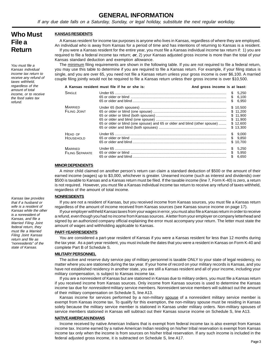### **GENERAL INFORMATION**

If any due date falls on a Saturday, Sunday, or legal holiday, substitute the next regular workday.

## **Who Must File a Return**

You must file a Kansas individual income tax return to receive any refund of taxes withheld, regardless of the amount of total income, or to receive the food sales tax refund.

#### **KANSAS RESIDENTS**

 If you were a Kansas resident for the entire year, you must file a Kansas individual income tax return if: 1) you are A Kansas resident for income tax purposes is anyone who lives in Kansas, regardless of where they are employed. An individual who is away from Kansas for a period of time and has intentions of returning to Kansas is a resident. required to file a federal income tax return; **or**, 2) your Kansas adjusted gross income is more than the total of your Kansas standard deduction and exemption allowance.

The minimum filing requirements are shown in the following table. If you are not required to file a federal return, you may use this table to determine if you are required to file a Kansas return. For example, if your filing status is single, and you are over 65, you need not file a Kansas return unless your gross income is over \$6,100. A married couple filing jointly would not be required to file a Kansas return unless their gross income is over \$10,500.

|                                          | A Kansas resident must file if he or she is:                               | And gross income is at least: |     |                                                                      |
|------------------------------------------|----------------------------------------------------------------------------|-------------------------------|-----|----------------------------------------------------------------------|
| SINGLE                                   |                                                                            |                               |     | \$5,250<br>\$6,100<br>6.950                                          |
| <b>MARRIED</b><br>FILING JOINT           | 65 or older or blind (one spouse) and 65 or older and blind (other spouse) |                               |     | \$10.500<br>\$11.200<br>\$11.900<br>\$11.900<br>\$12,600<br>\$13.300 |
| HEAD OF<br>HOUSEHOLD                     |                                                                            |                               |     | \$9,000<br>\$9.850<br>\$10.700                                       |
| <b>MARRIED</b><br><b>FILING SEPARATE</b> |                                                                            |                               | \$. | \$5.250<br>\$5.950<br>6.650                                          |

#### **MINOR DEPENDENTS**

A minor child claimed on another person's return can claim a standard deduction of \$500 or the amount of their earned income (wages) up to \$3,000, whichever is greater. Unearned income (such as interest and dividends) over \$500 is taxable to Kansas and a Kansas return must be filed. If the taxable income (line 7, Form K-40) is zero, a return is not required. However, you must file a Kansas individual income tax return to receive any refund of taxes withheld, regardless of the amount of total income.

#### **NONRESIDENTS**

If you are not a resident of Kansas, but you received income from Kansas sources, you must file a Kansas return regardless of the amount of income received from Kansas sources (see Kansas source income on page 17).

If your employer withheld Kansas taxes from your wages in error, you must also file a Kansas return in order to receive a refund, even though you had no income from Kansas sources. A letter from your employer on company letterhead and signed by an authorized company official explaining the error must accompany your return. The letter must state the amount of wages and withholding applicable to Kansas.

#### **PART-YEAR RESIDENTS**

You are considered a part-year resident of Kansas if you were a Kansas resident for less than 12 months during the tax year. As a part-year resident, you must include the dates that you were a resident in Kansas on Form K-40 and complete Part B of Schedule S.

#### **MILITARY PERSONNEL**

The active and reserve duty service pay of military personnel is taxable ONLY to your state of legal residency, no matter where you are stationed during the tax year. If your home of record on your military records is Kansas, and you have not established residency in another state, you are still a Kansas resident and all of your income, including your military compensation, is subject to Kansas income tax.

If you are a nonresident of Kansas but are stationed in Kansas due to military orders, you must file a Kansas return if you received income from Kansas sources. Only income from Kansas sources is used to determine the Kansas income tax due for nonresident military service members. Nonresident service members will subtract out the amount of their military compensation on Schedule S, line A13.

Kansas income for services performed by a non-military spouse of a nonresident military service member is exempt from Kansas income tax. To qualify for this exemption, the non-military spouse must be residing in Kansas solely because the military service member is stationed in Kansas under military orders. Non-military spouses of service members stationed in Kansas will subtract out their Kansas source income on Schedule S, line A13.

#### **NATIVEAMERICAN INDIANS**

Income received by native American Indians that is exempt from federal income tax is also exempt from Kansas income tax. Income earned by a native American Indian residing on his/her tribal reservation is exempt from Kansas income tax only when the income is from sources on his/her tribal reservation. If any such income is included in the federal adjusted gross income, it is subtracted on Schedule S, line A17.

Kansas law provides that if a husband or wife is a resident of Kansas while the other is a nonresident of Kansas, and file a Married Filing Joint federal return, they must file a Married Filing Joint Kansas return and file as "nonresidents" of the state of Kansas.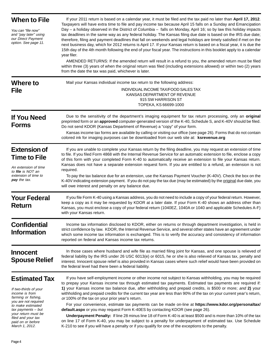| <b>When to File</b><br>You can "file now"<br>and "pay later" using<br>our Direct Payment<br>option. See page 11.                                                                                                                              | If your 2011 return is based on a calendar year, it must be filed and the tax paid no later than April 17, 2012.<br>Taxpayers will have extra time to file and pay income tax because April 15 falls on a Sunday and Emancipation<br>Day – a holiday observed in the District of Columbia – falls on Monday, April 16; so by law this holiday impacts<br>tax deadlines in the same way as any federal holiday. The Kansas filing due date is based on the IRS due date;<br>therefore, filing and payment deadlines that fall on weekends and legal holidays are timely satisfied if met on the<br>next business day, which for 2012 returns is April 17. If your Kansas return is based on a fiscal year, it is due the<br>15th day of the 4th month following the end of your fiscal year. The instructions in this booklet apply to a calendar<br>year filer.<br>AMENDED RETURNS: If the amended return will result in a refund to you, the amended return must be filed<br>within three (3) years of when the original return was filed (including extensions allowed) or within two (2) years<br>from the date the tax was paid, whichever is later. |
|-----------------------------------------------------------------------------------------------------------------------------------------------------------------------------------------------------------------------------------------------|----------------------------------------------------------------------------------------------------------------------------------------------------------------------------------------------------------------------------------------------------------------------------------------------------------------------------------------------------------------------------------------------------------------------------------------------------------------------------------------------------------------------------------------------------------------------------------------------------------------------------------------------------------------------------------------------------------------------------------------------------------------------------------------------------------------------------------------------------------------------------------------------------------------------------------------------------------------------------------------------------------------------------------------------------------------------------------------------------------------------------------------------------------|
| Where to<br><b>File</b>                                                                                                                                                                                                                       | Mail your Kansas individual income tax return to the following address:<br>INDIVIDUAL INCOME TAX/FOOD SALES TAX<br>KANSAS DEPARTMENT OF REVENUE<br>915 SW HARRISON ST<br>TOPEKA, KS 66699-1000                                                                                                                                                                                                                                                                                                                                                                                                                                                                                                                                                                                                                                                                                                                                                                                                                                                                                                                                                           |
| <b>If You Need</b><br><b>Forms</b>                                                                                                                                                                                                            | Due to the sensitivity of the department's imaging equipment for tax return processing, only an original<br>preprinted form or an approved computer-generated version of the K-40, Schedule S, and K-40V should be filed.<br>Do not send KDOR (Kansas Department of Revenue) a "copy" of your form.<br>Kansas income tax forms are available by calling or visiting our office (see page 26). Forms that do not contain<br>colored ink for imaging purposes can be downloaded from our web site at: ksrevenue.org                                                                                                                                                                                                                                                                                                                                                                                                                                                                                                                                                                                                                                        |
| <b>Extension of</b><br><b>Time to File</b><br>An extension of time<br>to file is NOT an<br>extension of time to<br><b>pay</b> the tax.                                                                                                        | If you are unable to complete your Kansas return by the filing deadline, you may request an extension of time<br>to file. If you filed Form 4868 with the Internal Revenue Service for an automatic extension to file, enclose a copy<br>of this form with your completed Form K-40 to automatically receive an extension to file your Kansas return.<br>Kansas does not have a separate extension request form. If you are entitled to a refund, an extension is not<br>required.<br>To pay the tax balance due for an extension, use the Kansas Payment Voucher (K-40V). Check the box on the<br>K-40V indicating extension payment. If you do not pay the tax due (may be estimated) by the original due date, you<br>will owe interest and penalty on any balance due.                                                                                                                                                                                                                                                                                                                                                                               |
| <b>Your Federal</b><br><b>Return</b>                                                                                                                                                                                                          | If you file Form K-40 using a Kansas address, you do not need to include a copy of your federal return. However,<br>keep a copy as it may be requested by KDOR at a later date. If your Form K-40 shows an address other than<br>Kansas, you must enclose a copy of your federal return (1040EZ, 1040A or 1040 and applicable Schedules A-F)<br>with your Kansas return.                                                                                                                                                                                                                                                                                                                                                                                                                                                                                                                                                                                                                                                                                                                                                                                 |
| <b>Confidential</b><br><b>Information</b>                                                                                                                                                                                                     | Income tax information disclosed to KDOR, either on returns or through department investigation, is held in<br>strict confidence by law. KDOR, the Internal Revenue Service, and several other states have an agreement under<br>which some income tax information is exchanged. This is to verify the accuracy and consistency of information<br>reported on federal and Kansas income tax returns.                                                                                                                                                                                                                                                                                                                                                                                                                                                                                                                                                                                                                                                                                                                                                     |
| <b>Innocent</b><br><b>Spouse Relief</b>                                                                                                                                                                                                       | In those cases where husband and wife file as married filing joint for Kansas, and one spouse is relieved of<br>federal liability by the IRS under 26 USC 6013(e) or 6015, he or she is also relieved of Kansas tax, penalty and<br>interest. Innocent spouse relief is also provided in Kansas cases where such relief would have been provided on<br>the federal level had there been a federal liability.                                                                                                                                                                                                                                                                                                                                                                                                                                                                                                                                                                                                                                                                                                                                             |
| <b>Estimated Tax</b><br>If two-thirds of your<br>income is from<br>farming or fishing,<br>you are not required<br>to make estimated<br>tax payments - but<br>your return must be<br>filed and your tax<br>paid on or before<br>March 1, 2012. | If you have self-employment income or other income not subject to Kansas withholding, you may be required<br>to prepay your Kansas income tax through estimated tax payments. Estimated tax payments are required if:<br>1) your Kansas income tax balance due, after withholding and prepaid credits, is \$500 or more; and 2) your<br>withholding and prepaid credits for the current tax year are less than 90% of the tax on your current year's return,<br>or 100% of the tax on your prior year's return.<br>For your convenience, estimate tax payments can be made on-line at https://www.kdor.org/personaltax/<br>default.aspx or you may request Form K-40ES by contacting KDOR (see page 26).<br>Underpayment Penalty: If line 28 minus line 18 of Form K-40 is at least \$500 and is more than 10% of the tax<br>on line 17 of Form K-40, you may be subject to a penalty for underpayment of estimated tax. Use Schedule<br>K-210 to see if you will have a penalty or if you qualify for one of the exceptions to the penalty.                                                                                                             |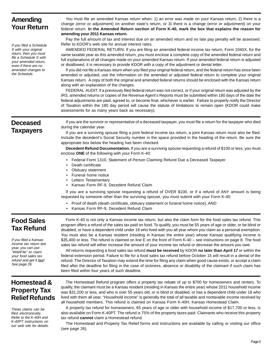## **Amending Your Return**

If you filed a Schedule S with your original return, then you must file a Schedule S with your amended return, even if there are no amended changes to the Schedule.

You must file an amended Kansas return when: 1) an error was made on your Kansas return, 2) there is a change (error or adjustment) on another state's return, or 3) there is a change (error or adjustment) on your federal return. **In the Amended Return section of Form K-40, mark the box that explains the reason for amending your 2011 Kansas return.** 

Pay the full amount of tax and interest due on an amended return and no late pay penalty will be assessed. Refer to KDOR's web site for annual interest rates.

AMENDED FEDERAL RETURN: If you are filing an amended federal income tax return, Form 1040X, for the same taxable year as this amended return, you must enclose a complete copy of the amended federal return and full explanations of all changes made on your amended Kansas return. If your amended federal return is adjusted or disallowed, it is necessary to provide KDOR with a copy of the adjustment or denial letter.

If you did not file a Kansas return when you filed your original federal return, and the federal return has since been amended or adjusted, use the information on the amended or adjusted federal return to complete your original Kansas return. A copy of both the original and amended federal returns should be enclosed with the Kansas return along with an explanation of the changes.

 FEDERAL AUDIT: If a previously filed federal return was not correct, or if your original return was adjusted by the IRS, amended returns or copies of the Revenue Agent's Reports must be submitted within 180 days of the date the federal adjustments are paid, agreed to, or become final, whichever is earlier. Failure to properly notify the Director of Taxation within the 180 day period will cause the statute of limitations to remain open (KDOR could make assessments for as many years back as necessary).

## **Deceased Taxpayers**

If you are the survivor or representative of a deceased taxpayer, you must file a return for the taxpayer who died during the calendar year.

If you are a surviving spouse filing a joint federal income tax return, a joint Kansas return must also be filed. Include the decedent's Social Security number in the space provided in the heading of the return. Be sure the appropriate box below the heading has been checked.

**Decedent Refund Documentation.** If you are a surviving spouse requesting a refund of \$100 or less, you must enclose **ONE** of the following with your Form K-40:

- Federal Form 1310, Statement of Person Claiming Refund Due a Deceased Taxpayer
- Death certificate
- Obituary statement
- Funeral home notice
- Letters Testamentary
- Kansas Form RF-9, Decedent Refund Claim

If you are a surviving spouse requesting a refund of OVER \$100, or if a refund of ANY amount is being requested by someone other than the surviving spouse, you must submit with your Form K-40:

- Proof of death (death certificate, obituary statement or funeral home notice), AND
- Kansas Form RF-9, Decedent Refund Claim

## **Food Sales Tax Refund**

If you filed a Kansas income tax return last year, you can use "WebFile" to claim your food sales tax refund and get it fast! See page 26.

Form K-40 is not only a Kansas income tax return, but also the claim form for the food sales tax refund. This program offers a refund of the sales tax paid on food. To qualify, you must be 55 years of age or older, or be blind or disabled, or have a dependent child under 18 who lived with you all year whom you claim as a personal exemption. You must also be a Kansas resident (residing in Kansas the entire year) whose Kansas qualifying income is \$35,400 or less. The refund is claimed on line E on the front of Form K-40 – see instructions on page 8. The food sales tax refund will either increase the amount of your income tax refund or decrease the amount you owe.

All returns requesting a food sales tax refund **must be received** by KDOR **no later than April 17** or within the federal extension period. Failure to file for a food sales tax refund before October 15 will result in a denial of the refund. The Director of Taxation may extend the time for filing any claim when good cause exists, or accept a claim filed after the deadline for filing in the case of sickness, absence or disability of the claimant if such claim has been filed within four years of such deadline.

## **Homestead & Property Tax Relief Refunds**

These claims can be filed electronically. Refer to the K-40H and K-40PT instructions on our web site for details.

The Homestead Refund program offers a property tax rebate of up to \$700 for homeowners and renters. To qualify, the claimant must be a Kansas resident (residing in Kansas the entire year) whose 2011 household income was \$31,200 or less, and who is over 55 years old, or is blind or disabled, or has a dependent child under 18 who lived with them all year. "Household income" is generally the total of all taxable and nontaxable income received by all household members. This refund is claimed on Kansas Form K-40H, Kansas Homestead Claim.

A property tax refund for homeowners, 65 years of age or older with household income of \$17,700 or less, is also available on Form K-40PT. The refund is 75% of the property taxes paid. Claimants who receive this property tax refund **cannot** claim a Homestead refund.

The Homestead and Property Tax Relief forms and instructions are available by calling or visiting our office (see page 26).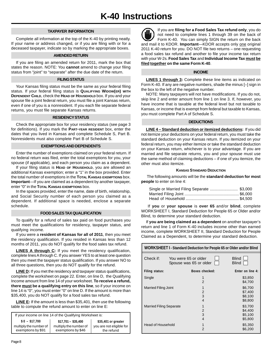#### **TAXPAYER INFORMATION**

Complete all information at the top of the K-40 by printing neatly. If your name or address changed, or if you are filing with or for a deceased taxpayer, indicate so by marking the appropriate boxes.

#### **AMENDED RETURN**

If you are filing an amended return for 2011, mark the box that states the reason. NOTE: You **cannot** amend to change your filing status from "joint" to "separate" after the due date of the return.

#### **FILING STATUS**

Your Kansas filing status must be the same as your federal filing status. If your federal filing status is **QUALIFYING WIDOW(ER) WITH DEPENDENT CHILD**, check the **HEAD OF HOUSEHOLD** box. If you and your spouse file a joint federal return, you must file a joint Kansas return, even if one of you is a nonresident. If you each file separate federal returns, you must file separate Kansas returns.

#### **RESIDENCY STATUS**

 for definitions). If you mark the **PART-YEAR RESIDENT** box, enter the Check the appropriate box for your residency status (see page 3 dates that you lived in Kansas and complete Schedule S, Part B. Nonresidents must also complete Part B of Schedule S.

#### **EXEMPTIONS AND DEPENDENTS**

Enter the number of exemptions claimed on your federal return. If no federal return was filed, enter the total exemptions for you, your spouse (if applicable), and each person you claim as a dependent.

If your filing status is **HEAD OF HOUSEHOLD**, you are allowed an additional Kansas exemption; enter a "1" in the box provided. Enter the total number of exemptions in the **TOTAL KANSAS EXEMPTIONS** box. **Important**—If you are claimed as a dependent by another taxpayer, enter "0" in the **TOTAL KANSAS EXEMPTIONS** box.

In the spaces provided, enter the name, date of birth, relationship, and Social Security number of each person you claimed as a dependent. If additional space is needed, enclose a separate schedule.

#### **FOOD SALES TAX QUALIFICATION**

To qualify for a refund of sales tax paid on food purchases you must meet the qualifications for residency, taxpayer status, and qualifying income.

If you were a **resident of Kansas for all of 2011**, then you meet the residency qualification. If you resided in Kansas less than 12 months of 2011, you do NOT qualify for the food sales tax refund.

**LINES A through C:** If you meet the residency qualification, complete lines A through C. If you answer YES to at least one question then you meet the taxpayer status qualification. If you answer NO to all three questions, then you do NOT qualify for the refund.

**LINE D:** If you met the residency and taxpayer status qualifications, complete the worksheet on page 22. Enter, on line D, the Qualifying Income amount from line 14 of your worksheet. **To receive a refund, there must be a qualifying entry on this line**, so if your income on line 14 is "0", you must enter "0" on line D. If the amount is more than \$35,400, you do NOT qualify for a food sales tax refund.

**LINE E:** If the amount is less than \$35,401, then use the following table to compute the refund amount to enter on line E:

If your income on line 14 of the Qualifying Worksheet is:

| $$0 - $17.700$         | $$17,701 - $35,400$    | \$35,401 or greater      |
|------------------------|------------------------|--------------------------|
| multiply the number of | multiply the number of | you are not eligible for |
| exemptions by \$91     | exemptions by \$46     | the refund               |

If you are **filing for a Food Sales Tax refund only**, you do not need to complete lines 1 through 39 on the back of Form K-40. You can simply SIGN the return on the back and mail it to KDOR. **Important**—KDOR accepts only one original 2011 K-40 return for you. DO NOT file two returns – one requesting a food sales tax refund and another to file your income tax return with your W-2s. **Food Sales Tax** and **Individual Income Tax must be filed together on the same Form K-40**.

#### **INCOME**

**LINES 1 through 3:** Complete these line items as indicated on Form K-40. If any are negative numbers, shade the minus [–] sign in the box to the left of the negative number.

NOTE: Many taxpayers will not have modifications. If you do not, skip line 2 and enter amount from line 1 on line 3. If, however, you have income that is taxable at the federal level but not taxable to Kansas, or income that is exempt from federal but taxable to Kansas, you must complete Part A of Schedule S.

#### **DEDUCTIONS**

**LINE 4 – Standard deduction or itemized deductions:** If you did not itemize your deductions on your federal return, you must take the standard deduction on your Kansas return. If you itemized on your federal return, you may either itemize or take the standard deduction on your Kansas return, whichever is to your advantage. If you are married and file separate returns, you and your spouse must use the same method of claiming deductions – if one of you itemize, the other must also itemize.

#### **KANSAS STANDARD DEDUCTION**

The following amounts will be the **standard deduction for most people** to enter on line 4:

| Single or Married Filing Separate  \$3,000 |
|--------------------------------------------|
|                                            |
|                                            |
|                                            |

 If **you** or **your spouse** is **over 65** and/or **blind**, complete WORKSHEET I, Standard Deduction for People 65 or Older and/or Blind, to determine your standard deduction.

If **you are being claimed as a dependent** on another taxpayer's return and line 1 of Form K-40 includes income other than earned income, complete WORKSHEET II, Standard Deduction for People Claimed as a Dependent, to determine your standard deduction.

| <b>WORKSHEET I - Standard Deduction for People 65 or Older and/or Blind</b> |  |                                                |                                          |  |
|-----------------------------------------------------------------------------|--|------------------------------------------------|------------------------------------------|--|
| Check if:                                                                   |  | You were 65 or older<br>Spouse was 65 or older | <b>Blind</b><br><b>Blind</b>             |  |
| Filing status:                                                              |  | Boxes checked:                                 | Enter on line 4:                         |  |
| Single                                                                      |  | 1<br>2                                         | \$3,850<br>\$4,700                       |  |
| <b>Married Filing Joint</b>                                                 |  | 1<br>2<br>3                                    | \$6,700<br>\$7,400<br>\$8,100            |  |
| <b>Married Filing Separate</b>                                              |  | 4<br>1<br>2<br>3                               | \$8,800<br>\$3,700<br>\$4,400<br>\$5,100 |  |
| Head of Household                                                           |  | 4<br>1<br>$\mathfrak{p}$                       | \$5,800<br>\$5,350<br>\$6,200            |  |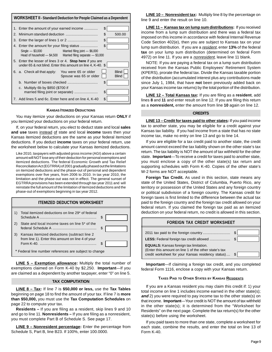|    | <b>WORKSHEET II - Standard Deduction for People Claimed as a Dependent</b>                                                      |     |                              |  |  |
|----|---------------------------------------------------------------------------------------------------------------------------------|-----|------------------------------|--|--|
|    | 1. Enter the amount of your earned income                                                                                       | \$  |                              |  |  |
| 2. |                                                                                                                                 | \$  | 500.00                       |  |  |
|    |                                                                                                                                 | \$  |                              |  |  |
|    | Married filing joint - \$6,000<br>$Single - $3,000$<br>Head of household $- $4,500$ Married filing separate $- $3,000$          | \$  |                              |  |  |
|    | 5. Enter the lesser of lines 3 or 4. <b>Stop here</b> if you are<br>under 65 & not blind. Enter this amount on line 4, K-40. \$ |     |                              |  |  |
|    | 6. a. Check all that apply: You were 65 or older<br>Spouse was 65 or older                                                      |     | <b>Blind</b><br><b>Blind</b> |  |  |
|    |                                                                                                                                 | \$  |                              |  |  |
|    | c. Multiply 6b by \$850 (\$700 if                                                                                               | S   |                              |  |  |
|    | 7. Add lines 5 and 6c. Enter here and on line 4, K-40                                                                           | \$. |                              |  |  |

#### **KANSAS ITEMIZED DEDUCTIONS**

You may itemize your deductions on your Kansas return **ONLY** if you itemized your deductions on your federal return.

If, on your federal return, you elect to deduct state and local **sales and use** taxes instead of state and local **income** taxes then your Kansas itemized deductions are the same as your federal itemized deductions. If you deduct **income** taxes on your federal return, use the worksheet below to calculate your Kansas itemized deductions.

Like 2010, taxpayers with adjusted gross income (AGI) above a certain amount will NOT lose any of their deduction for personal exemptions and itemized deductions. The federal Economic Growth and Tax Relief Reconciliation Act (EGTRRA) of 2001 gradually phased out the limitations on itemized deductions and the phase-out of personal and dependent exemptions over five years, from 2006 to 2010. In tax year 2010, the limitation and the phase-out was not in effect. The general sunset of EGTRRA provisions has been extended through tax year 2011 and will reinstate the full amount of the limitation of itemized deductions and the phase-out of exemptions beginning in tax year 2012.



**LINE 5 – Exemption allowance:** Multiply the total number of exemptions claimed on Form K-40 by \$2,250. **Important**—If you are claimed as a dependent by another taxpayer, enter "0" on line 5.

#### **TAX COMPUTATION**

**LINE 8 – Tax:** If line 7 is **\$50,000 or less,** use the **Tax Tables**  beginning on page 18 to find the amount of your tax. If line 7 is **more than \$50,000,** you must use the **Tax Computation Schedules** on page 22 to compute your tax.

**Residents –** If you are filing as a resident, skip lines 9 and 10 and go to line 11. **Nonresidents –** If you are filing as a nonresident, you must complete Part B of Schedule S. See page 17.

**LINE 9 – Nonresident percentage:** Enter the percentage from Schedule S, Part B, line B23. If 100%, enter 100.0000.

**LINE 10 – Nonresident tax:** Multiply line 8 by the percentage on line 9 and enter the result on line 10.

**LINE 11 – Kansas tax on lump sum distributions:** If you received income from a lump sum distribution and there was a federal tax imposed on this income in accordance with federal Internal Revenue Code Section 402(e), then you are subject to Kansas tax on your lump sum distribution. If you are a resident, enter **13%** of the federal **tax** on your lump sum distribution (determined on federal Form 4972) on line 11. If you are a *nonresident*, leave line 11 blank.

NOTE: If you are paying a federal tax on a lump sum distribution received from the Kansas Public Employees' Retirement System (KPERS), prorate the federal tax. Divide the Kansas taxable portion of the distribution (accumulated interest plus any contributions made since July 1, 1984, that have **not** been previously added back on your Kansas income tax returns) by the total portion of the distribution.

**LINE 12 – Total Kansas tax:** If you are filing as a **resident**, add lines **8** and **11** and enter result on line 12. If you are filing this return as a **nonresident,** enter the amount from line **10** again on line 12.

#### **CREDITS**

**LINE 13 – Credit for taxes paid to other states:** If you paid income tax to another state, you may be eligible for a credit against your Kansas tax liability. If you had income from a state that has no state income tax, make no entry on line 13 and go to line 14.

If you are eligible for a tax credit paid to another state, the credit amount cannot exceed the tax liability shown on the other state's tax return. The tax liability is NOT the amount of tax withheld for the other state. **Important**—To receive a credit for taxes paid to another state, you must enclose a copy of the other state(s) tax return and supporting schedules with Form K-40. Copies of the other state's W-2 forms are NOT acceptable.

**Foreign Tax Credit.** As used in this section, state means any state of the United States, District of Columbia, Puerto Rico, any territory or possession of the United States and any foreign country or political subdivision of a foreign country. The Kansas credit for foreign taxes is first limited to the difference between the actual tax paid to the foreign country and the foreign tax credit allowed on your federal return. If you claimed the foreign tax paid as an itemized deduction on your federal return, no credit is allowed in this section.

| <b>FOREIGN TAX CREDIT WORKSHEET</b>                                                                                                                          |         |  |
|--------------------------------------------------------------------------------------------------------------------------------------------------------------|---------|--|
|                                                                                                                                                              | \$<br>S |  |
| <b>EQUALS:</b> Kansas foreign tax limitation.<br>(Enter this amount on line 1 of the other state's tax<br>credit worksheet for your Kansas residency status) | \$      |  |

**Important**—If claiming a foreign tax credit, and you completed federal Form 1116, enclose a copy with your Kansas return.

#### **TAXES PAID TO OTHER STATES BY KANSAS RESIDENTS**

If you are a Kansas resident you may claim this credit if: 1) your total income on line 1 includes income earned in the other state(s); **and** 2) you were required to pay income tax to the other state(s) on that income. **Important**—Your credit is NOT the amount of tax withheld in the other state(s); it is determined from the "Worksheet for Residents" on the next page. Complete the tax return(s) for the other state(s) before using the worksheet.

If you paid taxes to more than one state, complete a worksheet for each state, combine the results, and enter the total on line 13 of Form K-40.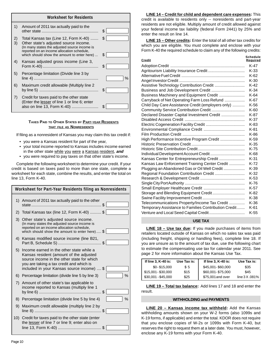|          | <b>Worksheet for Residents</b>                                                                                                                                                                                               |           |
|----------|------------------------------------------------------------------------------------------------------------------------------------------------------------------------------------------------------------------------------|-----------|
| 1)       | Amount of 2011 tax actually paid to the                                                                                                                                                                                      | \$        |
| 2)<br>3) | Total Kansas tax (Line 12, Form K-40)<br>Other state's adjusted source income.<br>(In many states the adjusted source income is<br>reported on an income allocation schedule,<br>which should show the amount to enter here) | \$.<br>\$ |
| 4)       | Kansas adjusted gross income (Line 3,                                                                                                                                                                                        | \$        |
| 5)       | Percentage limitation (Divide line 3 by                                                                                                                                                                                      | $\%$      |
| 6)       | Maximum credit allowable (Multiply line 2                                                                                                                                                                                    | \$.       |
| 7)       | Credit for taxes paid to the other state<br>(Enter the lesser of line 1 or line 6; enter<br>also on line 13, Form K-40)                                                                                                      |           |

#### **TAXES PAID TO OTHER STATES BY PART-YEAR RESIDENTS THAT FILE AS NONRESIDENTS**

If filing as a nonresident of Kansas you may claim this tax credit if:

- • you were a Kansas resident for part of the year,
- your total income reported to Kansas includes income earned in the other state while you were a Kansas resident, **and**
- you were required to pay taxes on that other state's income.

Complete the following worksheet to determine your credit. If your credit is based on taxes paid to more than one state, complete a worksheet for each state, combine the results, and enter the total on line 13, Form K-40.

|    | Worksheet for Part-Year Residents filing as Nonresidents                                                                                                                                                                    |  |  |  |
|----|-----------------------------------------------------------------------------------------------------------------------------------------------------------------------------------------------------------------------------|--|--|--|
| 1) | Amount of 2011 tax actually paid to the other                                                                                                                                                                               |  |  |  |
| 2) | Total Kansas tax (line 12, Form K-40)  \$                                                                                                                                                                                   |  |  |  |
|    | 3) Other state's adjusted source income.<br>(In many states the adjusted source income is<br>reported on an income allocation schedule,<br>which should show the amount to enter here) \$                                   |  |  |  |
|    | 4) Kansas modified source income (line B21,                                                                                                                                                                                 |  |  |  |
| 5) | Income earned in the other state while a<br>Kansas resident (amount of the adjusted<br>source income in the other state for which<br>you are taking a tax credit and which is<br>included in your Kansas source income)  \$ |  |  |  |
| 6) | $\%$<br>Percentage limitation (divide line 5 by line 3)                                                                                                                                                                     |  |  |  |
|    | 7) Amount of other state's tax applicable to<br>income reported to Kansas (multiply line 1                                                                                                                                  |  |  |  |
| 8) | Percentage limitation (divide line 5 by line 4)<br>%                                                                                                                                                                        |  |  |  |
| 9) | Maximum credit allowable (multiply line 2 by                                                                                                                                                                                |  |  |  |
|    | 10) Credit for taxes paid to the other state (enter<br>the lesser of line 7 or line 9; enter also on                                                                                                                        |  |  |  |

**LINE 14 – Credit for child and dependent care expenses:** This credit is available to residents only -- noresidents and part-year residents are not eligible. Multiply amount of credit allowed against your federal income tax liability (federal Form 2441) by 25% and enter the result on line 14.

**LINE 15 – Other credits:** Enter the total of all other tax credits for which you are eligible. You must complete and enclose with your Form K-40 the required schedule to claim any of the following credits:

| Credit                                               | Schedule<br>Required |
|------------------------------------------------------|----------------------|
|                                                      | $K-47$               |
|                                                      | $K-33$               |
|                                                      | $K-62$               |
|                                                      | $K-30$               |
| Assistive Technology Contribution Credit             | $K-42$               |
| Business and Job Development Credit                  | $K-34$               |
| Business Machinery and Equipment Credit              | K-64                 |
| Carryback of Net Operating Farm Loss Refund          | K-67                 |
| Child Day Care Assistance Credit (employers only)    | $K-56$               |
| Community Service Contribution Credit                | $K-60$               |
| Declared Disaster Capital Investment Credit          | K-87                 |
|                                                      | $K-37$               |
|                                                      | K-83                 |
|                                                      | $K-81$               |
|                                                      | K-86                 |
| High Performance Incentive Program Credit            | $K-59$               |
|                                                      | $K-35$               |
|                                                      | $K-75$               |
| Individual Development Account Credit                | K-68                 |
| Kansas Center for Entrepreneurship Credit            | $K-31$               |
| Kansas Law Enforcement Training Center Credit        | $K-72$               |
| Plugging an Abandoned Gas or Oil Well Credit         | $K-39$               |
| Regional Foundation Contribution Credit              | $K-32$               |
|                                                      | $K-53$               |
|                                                      | K-76                 |
|                                                      | $K-57$               |
| Storage and Blending Equipment Credit                | K-82                 |
|                                                      | K-38                 |
| Telecommunications Property/Income Tax Credit        | $K-36$               |
| Temporary Assistance to Families Contribution Credit | $K-61$               |
| Venture and Local Seed Capital Credit                | $K-55$               |

#### **USE TAX**

**LINE 18 – Use tax due:** If you made purchases of items from retailers located outside of Kansas on which no sales tax was paid (including freight, shipping or handling fees), complete line 18. If you are unsure as to the amount of tax due, use the following chart to estimate the compensating use tax for calendar year 2011. See page 2 for more information about the Kansas Use Tax.

| If line 3, K-40 is: | Use Tax is: | If line 3, K-40 is: | Use Tax is:  |
|---------------------|-------------|---------------------|--------------|
| $$0 - $15.000$      | \$5         | \$45,001-\$60,000   | \$35         |
| $$15,001 - $30,000$ | \$15        | \$60,001-\$75,000   | \$45         |
| $$30,001 - $45,000$ | \$25        | \$75,001 and over   | line 3X.081% |

 **LINE 19 – Total tax balance:** Add lines 17 and 18 and enter the result.

#### **WITHHOLDING and PAYMENTS**

**LINE 20 – Kansas income tax withheld:** Add the Kansas withholding amounts shown on your W-2 forms (also 1099s and K-19 forms, if applicable) and enter the total. KDOR does not require that you enclose copies of W-2s or 1099s with Form K-40, but reserves the right to request them at a later date. You must, however, enclose any K-19 forms with your Form K-40.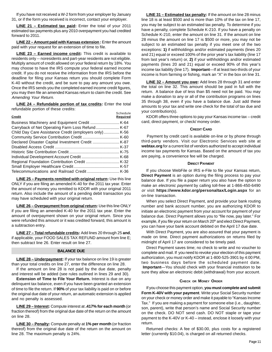If you have not received a W-2 form from your employer by January 31, or if the form you received is incorrect, contact your employer.

**LINE 21 – Estimated tax paid:** Enter the total of your 2011 estimated tax payments plus any 2010 overpayment you had credited forward to 2011.

**LINE 22 – Amount paid with Kansas extension:** Enter the amount paid with your request for an extension of time to file.

**LINE 23 – Earned income credit:** This credit is available to residents only -- noresidents and part-year residents are not eligible. Multiply amount of credit allowed on your federal return by 18%. You may choose to have the IRS compute your federal earned income credit. If you do not receive the information from the IRS before the deadline for filing your Kansas return you should complete Form K-40 without the credit, and be sure to pay any amount you owe. Once the IRS sends you the completed earned income credit figures, you may then file an amended Kansas return to claim the credit. See Amending Your Return.

**LINE 24 - Refundable portion of tax credits:** Enter the total refundable portion of these credits: Schedule

| Credit                                                 | ouicuuc<br><b>Required</b> |
|--------------------------------------------------------|----------------------------|
|                                                        |                            |
|                                                        |                            |
| Child Day Care Assistance Credit (employers only) K-56 |                            |
|                                                        |                            |
|                                                        |                            |
|                                                        |                            |
|                                                        |                            |
|                                                        |                            |
|                                                        |                            |
|                                                        |                            |
|                                                        |                            |

**LINE 25 – Payments remitted with original return:** Use this line ONLY if you are filing an amended K-40 for the 2011 tax year. Enter the amount of money you remitted to KDOR with your original 2011 return. Also include the amount of a pending debit transaction you may have scheduled with your original return.

**LINE 26 – Overpayment from original return:** Use this line ONLY if you are filing an amended K-40 for the 2011 tax year. Enter the amount of overpayment shown on your original return. Since you were refunded this amount or it was credited forward, this amount is a subtraction entry.

**LINE 27 – Total refundable credits:** Add lines 20 through 25 **and**, if applicable, your FOOD SALES TAX REFUND amount from line E; then subtract line 26. Enter result on line 27.

#### **BALANCE DUE**

**LINE 28 – Underpayment:** If your tax balance on line 19 is greater than your total credits on line 27, enter the difference on line 28.

If the amount on line 28 is not paid by the due date, penalty and interest will be added (see rules outlined in lines 29 and 30).

**Extension of Time to File Your Return.** Interest is due on any delinquent tax balance, even if you have been granted an extension of time to file the return. If **90%** of your tax liability is paid on or before the original due date of your return, an automatic extension is applied and no penalty is assessed.

**LINE 29 – Interest:** Compute interest at **.417% for each month** (or fraction thereof) from the original due date of the return on the amount on line 28.

**LINE 30 – Penalty:** Compute penalty at **1% per month** (or fraction thereof) from the original due date of the return on the amount on line 28. The maximum penalty is 24%.

**LINE 31 – Estimated tax penalty:** If the amount on line 28 minus line 18 is at least \$500 and is more than 10% of the tax on line 17, you may be subject to an estimated tax penalty. To determine if you have a penalty, complete Schedule K-210. If you have a penalty on Schedule K-210, enter the amount on line 31. If the amount on line 28 minus the amount on line 17 is \$500 or more, you may not be subject to an estimated tax penalty if you meet one of the two exceptions: **1)** if withholdings and/or estimated payments (lines 20 and 21) equal or exceed 100% of the prior year's tax liability (line 17 from last year's return) or, **2)** if your withholdings and/or estimated payments (lines 20 and 21) equal or exceed 90% of this year's income tax liability (line 17). **Important**—If at least two-thirds of your income is from farming or fishing, mark an "X" in the box on line 31.

**LINE 32 – Amount you owe:** Add lines 28 through 31 and enter the total on line 32. This amount should be paid in full with the return. A balance due of less than \$5 need not be paid. You may make a donation to any or all of the contribution programs on lines 35 through 38, even if you have a balance due. Just add these amounts to your tax and write one check for the total of tax due and your contribution(s).

KDOR offers three options to pay your Kansas income tax – credit card, direct payment, or check/ money order.

#### **CREDIT CARD**

Payment by credit card is available on-line or by phone through third-party vendors. Visit our Electronic Services web site at **webtax.org** for a current list of vendors authorized to accept individual income tax payments for Kansas. Based on the amount of tax you are paying, a convenience fee will be charged.

#### **DIRECT PAYMENT**

If you choose WebFile or IRS e-File to file your Kansas return, **Direct Payment** is an option during the filing process to pay your balance due. If you file a paper return you also have the option to make an electronic payment by calling toll-free at 1-866-450-6490 or visit **https://www.kdor.org/personaltax/Login.aspx** for an on-line transaction.

When you select Direct Payment, and provide your bank routing number and bank account number, you are authorizing KDOR to initiate an electronic payment from your account for payment of your balance due. Direct Payment allows you to "file now, pay later." For example, if you file your return on March 20<sup>th</sup> and elect Direct Payment, you can have your bank account debited on the April 17 due date.

With Direct Payment, you are also assured that your payment is made on time. Direct payment authorizations on returns filed by midnight of April 17 are considered to be timely paid.

Direct Payment saves time; no check to write and no voucher to complete and mail. If you need to revoke your election of this payment authorization, you must notify KDOR at 1-800-525-3901 by 4:00 PM, two business days before the scheduled payment date. **Important**—You should check with your financial institution to be sure they allow an electronic debit (withdrawal) from your account.

#### **CHECK OR MONEY ORDER**

If you choose this payment option, **you must complete and submit Form K-40V with your payment**. Write your Social Security number on your check or money order and make it payable to "Kansas Income Tax." If you are making a payment for someone else (i.e., daughter, son, parent), write that person's name and Social Security number on the check. DO NOT send cash. DO NOT staple or tape your payment to the K-40V or K-40 – instead, enclose it loosely with your return.

Returned checks: A fee of \$30.00, plus costs for a registered letter (currently \$10.04), is charged on all returned checks.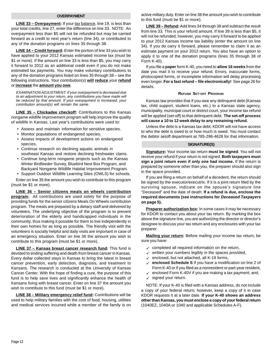#### **OVERPAYMENT**

LINE 33 - Overpayment: If your tax balance, line 19, is less than your total credits, line 27, enter the difference on line 33. NOTE: An overpayment less than \$5 will not be refunded but may be carried forward as a credit to next year's return (line 34), or contributed to any of the donation programs on lines 35 through 38.

**LINE 34 – Credit forward:** Enter the portion of line 33 you wish to have applied to your 2012 Kansas estimated income tax (must be \$1 or more). If the amount on line 33 is less than \$5, you may carry it forward to 2012 as an additional credit even if you do not make estimated tax payments. You may make voluntary contributions to any of the donation programs listed on lines 35 through 38 – see the following instructions. Your contribution(s) **will reduce** your **refund**  or **increase** the **amount you owe**.

EXAMINATION ADJUSTMENT: If your overpayment is decreased due to an adjustment to your return, any contributions you have made will be reduced by that amount. If your overpayment is increased, your contribution amount(s) will remain the same.

**LINE 35 – Chickadee checkoff:** Contributions to this Kansas nongame wildlife improvement program will help improve the quality of wildlife in Kansas. Last year's contributions were used to:

- Assess and maintain information for sensitive species.
- Monitor populations of endangered species.
- Assess impacts of development actions on endangered species.
- Continue research on declining aquatic animals in southeast Kansas and restore declining freshwater clams.
- Continue long-term nongame projects such as the Kansas Winter Birdfeeder Survey, Bluebird Nest Box Program, and Backyard Nongame Wildlife Habitat Improvement Program.
- Support Outdoor Wildlife Learning Sites (OWLS) for schools.

Enter on line 35 the amount you wish to contribute to this program (must be \$1 or more).

 **program:** All contributions are used solely for the purpose of **LINE 36 – Senior citizens meals on wheels contribution**  providing funds for the senior citizens Meals On Wheels contribution program. The meals are prepared by a dietary staff and delivered by volunteers. The underlying objective of the program is to prevent deterioration of the elderly and handicapped individuals in the community, thus making it possible for them to live independently in their own homes for as long as possible. The friendly visit with the volunteers is socially helpful and daily visits are important in case of an emergency situation. Enter on line 36 the amount you wish to contribute to this program (must be \$1 or more).

**LINE 37 – Kansas breast cancer research fund:** This fund is devoted to ending suffering and death from breast cancer in Kansas. Every dollar collected stays in Kansas to bring the latest in breast cancer prevention, early detection, diagnosis, and treatment to Kansans. The research is conducted at the University of Kansas Cancer Center. With the hope of finding a cure, the purpose of this fund is to help save lives and significantly enhance the health of Kansans living with breast cancer. Enter on line 37 the amount you wish to contribute to this fund (must be \$1 or more).

**LINE 38 – Military emergency relief fund:** Contributions will be used to help military families with the cost of food, housing, utilities and medical services incurred while a member of the family is on active military duty. Enter on line 38 the amount you wish to contribute to this fund (must be \$1 or more).

**LINE 39 – Refund:** Add lines 34 through 38 and subtract the result from line 33. This is your refund amount. If line 39 is less than \$5, it will not be refunded, however, you may carry it forward to be applied to your 2012 Kansas income tax liability (enter the amount on line 34). If you do carry it forward, please remember to claim it as an estimate payment on your 2012 return. You also have an option to apply it to one of the donation programs (lines 35 through 38 of Form K-40).

If you file a **paper** form K-40, you need to **allow 16 weeks** from the date you mail it to receive your refund. Errors, inaccurate forms, photocopied forms, or incomplete information will delay processing even longer. **For a fast refund – file electronically!** See page 26 for details.

#### **REFUND SET-OFF PROGRAM**

Kansas law provides that if you owe any delinquent debt (Kansas tax, child support, student loans, etc.) to a Kansas state agency, municipality, municipal court or district court, your income tax refund will be applied (set-off) to that delinquent debt. **The set-off process will cause a 10 to 12 week delay to any remaining refund.** 

Unless the debt is a Kansas tax debt, KDOR will not have access to who the debt is owed to or how much is owed. You must contact the debtor setoff department at 785-296-4628 for that information.

#### **SIGNATURE(S)**

**Signature:** Your income tax return **must be signed**. You will not receive your refund if your return is not signed. **Both taxpayers must sign a joint return even if only one had income.** If the return is prepared by someone other than you, the preparer should also sign in the space provided.

If you are filing a return on behalf of a decedent, the return should be signed by the executor/executrix. If it is a joint return filed by the surviving spouse, indicate on the spouse's signature line "Deceased" and the date of death. **If a refund is due, enclose the required documents (see instructions for Deceased Taxpayers on page 5).** 

**Preparer authorization box:** In some cases it may be necessary for KDOR to contact you about your tax return. By marking the box above the signature line, you are authorizing the director or director's designee to discuss your tax return and any enclosures with your tax preparer.

**Mailing your return:** Before mailing your income tax return, be sure you have:

- $\checkmark$  completed all required information on the return,
- $\checkmark$  written your numbers legibly in the spaces provided,
- $\checkmark$  enclosed, but not attached, all K-19 forms,
- 9 **enclosed Schedule S** if you have a modification on line 2 of Form K-40 or if you filed as a nonresident or part-year resident,
- $\checkmark$  enclosed Form K-40V if you are making a tax payment; and,
- $\checkmark$  signed your return.

NOTE: If your K-40 is filed with a Kansas address, do not include a copy of your federal return; however, keep a copy of it in case KDOR requests it at a later date. **If your K-40 shows an address other than Kansas, you must enclose a copy of your federal return**  (1040EZ, 1040A or 1040 and applicable Schedules A-F).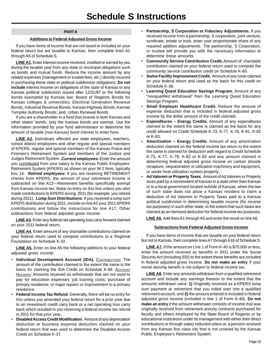#### **PART A**

#### **Additions to Federal Adjusted Gross Income**

If you have items of income that are not taxed or included on your federal return but are taxable to Kansas, then complete lines A1 through A5 of Schedule S.

**LINE A1.** Enter interest income received, credited or earned by you during the taxable year from any state or municipal obligations such as bonds and mutual funds. Reduce the income amount by any related expenses (management or trustee fees, etc.) directly incurred in purchasing these state or political subdivision obligations. **Do not include** interest income on obligations of the state of Kansas or any Kansas political subdivision issued after 12/31/87 or the following bonds exempted by Kansas law: Board of Regents Bonds for Kansas colleges & universities; Electrical Generation Revenue Bonds; Industrial Revenue Bonds; Kansas Highway Bonds; Kansas Turnpike Authority Bonds; and, Urban Renewal Bonds.

If you are a shareholder in a fund that invests in both Kansas and other states' bonds, only the Kansas bonds are exempt. Use the information provided by your fund administrator to determine the amount of taxable (non-Kansas) bond interest to enter here.

**LINE A2.** Individuals affected are state employees, teachers, school district employees and other regular and special members of KPERS, regular and special members of the Kansas Police and Firemen's Retirement System and members of the Justice and Judges Retirement System. **Current employees:** Enter the amount you contributed from your salary to the Kansas Public Employees' Retirement System (KPERS) as shown on your W-2 form, typically box 14. **Retired employees:** If you are receiving RETIREMENT checks from KPERS, the amount of your retirement income is subtracted on line A12—Retirement benefits specifically exempt from Kansas income tax. Make no entry on this line unless you also made contributions to KPERS during 2011 (for example, you retired during 2011). **Lump Sum Distributions:** If you received a lump sum KPERS distribution during 2011, include on line A2 your 2011 KPERS contributions and follow the instructions for line A17, Other subtractions from federal adjusted gross income.

**LINE A3.** Enter any federal net operating loss carry forward claimed on your 2011 federal return.

**LINE A4.** Enter amount of any charitable contributions claimed on your federal return used to compute contributions to a Regional Foundation on Schedule K-32.

**LINE A5.** Enter on line A5 the following additions to your federal adjusted gross income:

- Individual Development Account (IDA). CONTRIBUTORS: The amount of the contribution claimed to the extent the same is the basis for claiming the IDA Credit on Schedule K-68. ACCOUNT HOLDERS: Amounts received as withdrawals that are not used to pay for education expenses; job training costs; purchase of primary residence; or major repairs or improvement to a primary residence.
- • **Federal Income Tax Refund.** Generally, there will be no entry for this unless you amended your federal return for a prior year due to an investment credit carry back or a net operating loss carry back which resulted in you receiving a federal income tax refund in 2011 for that prior year.
- • **Disabled Access Credit Modification.** Amount of any depreciation deduction or business expense deduction claimed on your federal return that was used to determine the Disabled Access Credit on Schedule K-37.
- • **Partnership, S Corporation or Fiduciary Adjustments.** If you received income from a partnership, S corporation, joint venture, syndicate, estate or trust, enter your proportionate share of any required addition adjustments. The partnership, S Corporation, or trustee will provide you with the necessary information to determine these amounts.
- **Community Service Contribution Credit.** Amount of charitable contribution claimed on your federal return used to compute the community service contribution credit on Schedule K-60.
- • **Swine Facility Improvement Credit.** Amount of any costs claimed on your federal return and used as the basis for this credit on Schedule K-38.
- **Learning Quest Education Savings Program.** Amount of any "nonqualified withdrawal" from the Learning Quest Education Savings Program.
- **Small Employer Healthcare Credit.** Reduce the amount of expense deduction that is included in federal adjusted gross income by the dollar amount of the credit claimed.
- **Expenditures Energy Credits.** Amount of any expenditures claimed to the extent the same is claimed as the basis for any credit allowed on Credit Schedule K-73, K-77, K-79, K-81, K-82 or K-83.
- **Amortization Energy Credits.** Amount of any amortization deduction claimed on the federal income tax return to the extent the same is claimed for deduction with regard to Credit Schedule K-73, K-77, K-79, K-82 or K-83 and any amount claimed in determining federal adjusted gross income on carbon dioxide recapture, sequestration or utilization machinery and equipment, or waste heat utilization system property.
- • **Ad Valorem or Property Taxes.** Amount of Ad Valorem or Property taxes paid by a nonresident of Kansas to a state other than Kansas or to a local government located outside of Kansas, when the law of such state does not allow a Kansas resident to claim a deduction of Ad Valorem or Property Taxes paid to a Kansas political subdivision in determining taxable income (for income tax purposes) in such other state, to the extent that such taxes are claimed as an itemized deduction for federal income tax purposes.

**LINE A6.** Add lines A1 through A5 and enter the result on line A6.

#### **Subtractions from Federal Adjusted Gross Income**

If you have items of income that are taxable on your federal return but not to Kansas, then complete lines A7 through A18 of Schedule S.

**LINE A7.** If the amount on Line 1 of Form K-40 is \$75,000 or less, enter the amount received as benefits in 2011 under the Social Security Act (including SSI) to the extent these benefits are included in federal adjusted gross income. **Do not make an entry** if your social security benefit is not subject to federal income tax.

**LINE A8.** Enter any amounts withdrawn from a qualified retirement account and include any earnings thereon to the extent that the amounts withdrawn were: **1)** Originally received as a KPERS lump sum payment at retirement that you rolled over into a qualified retirement account, and **2)** the amount entered is included in federal adjusted gross income (included in line 1 of Form K-40). **Do not make an entry** if the amount withdrawn consists of income that was originally received from retirement annuity contracts purchased for faculty and others employed by the State Board of Regents or by educational institutions under its management with either their direct contributions or through salary reduction plans or, a pension received from any Kansas first class city that is not covered by the Kansas Public Employee's Retirement System.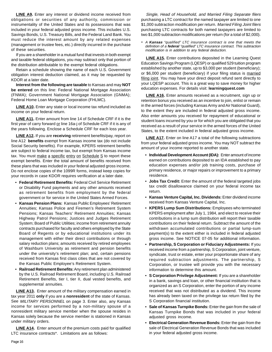**LINE A9.** Enter any interest or dividend income received from obligations or securities of any authority, commission or instrumentality of the United States and its possessions that was included in your federal adjusted gross income. This includes U.S. Savings Bonds, U.S. Treasury Bills, and the Federal Land Bank. You must reduce the interest amount by any related expenses (management or trustee fees, etc.) directly incurred in the purchase of these securities.

If you are a shareholder in a mutual fund that invests in both exempt and taxable federal obligations, you may subtract only that portion of the distribution attributable to the exempt federal obligations.

Retain a schedule showing the name of each U.S. Government obligation interest deduction claimed, as it may be requested by KDOR at a later date.

**Interest from the following are taxable** to Kansas and may **NOT be entered** on this line: Federal National Mortgage Association (FNMA); Government National Mortgage Association (GNMA); Federal Home Loan Mortgage Corporation (FHLMC).

**LINE A10.** Enter any state or local income tax refund included as income on your federal return.

**LINE A11.** Enter amount from line 14 of Schedule CRF if it is the first year of carry forward or line 16a-j of Schedule CRF if it is any of the years following. Enclose a Schedule CRF for each loss year.

**LINE A12.** If you are **receiving** retirement benefits/pay, report on line A12 **benefits** exempt from Kansas income tax (do not include Social Security benefits). For example, KPERS retirement benefits are subject to federal income tax, but exempt from Kansas income tax. You must make a specific entry on Schedule S to report these exempt benefits. Enter the total amount of benefits received from these plans that was included in your federal adjusted gross income. Do not enclose copies of the 1099R forms, instead keep copies for your records in case KDOR requires verification at a later date.

- • **Federal Retirement Benefits:** Federal Civil Service Retirement or Disability Fund payments and any other amounts received as retirement benefits from employment by the federal government or for service in the United States Armed Forces.
- • **Kansas Pension Plans:** Kansas Public Employees' Retirement Annuities; Kansas Police and Firemen's Retirement System Pensions; Kansas Teachers' Retirement Annuities; Kansas Highway Patrol Pensions; Justices and Judges Retirement System; Board of Public Utilities; income from retirement annuity contracts purchased for faculty and others employed by the State Board of Regents or by educational institutions under its management with either their direct contributions or through salary reduction plans; amounts received by retired employees of Washburn University as retirement and pension benefits under the university's retirement plan; and, certain pensions received from Kansas first class cities that are not covered by the Kansas Public Employee's Retirement System.
- • **Railroad Retirement Benefits:** Any retirement plan administered by the U.S. Railroad Retirement Board, including U.S. Railroad Retirement Benefits, tier I, tier II, dual vested benefits, and supplemental annuities.

**LINE A13.** Enter amount of the military compensation earned in tax year 2011 **only** if you are a **nonresident** of the state of Kansas. See MILITARY PERSONNEL on page 3. Enter also, any Kansas income for services performed by a non-military spouse of a nonresident military service member when the spouse resides in Kansas solely because the service member is stationed in Kansas under military orders.

**LINE A14.** Enter amount of the premium costs paid for qualified LTC insurance contracts\*. Limitations are as follows:

Single, Head of Household, and Married Filing Separate filers purchasing a LTC contract for the named taxpayer are limited to one \$1,000 subtraction modification per return. Married Filing Joint filers purchasing LTC contracts for both named taxpayers are limited to two \$1,000 subtraction modifications per return (for a total of \$2,000).

A Kansas "qualified" LTC insurance contract is one that meets the definition of a **federal** "qualified" LTC insurance contract. This subtraction modification is in addition to any federal deduction.

**LINE A15.** Enter contributions deposited in the Learning Quest Education Savings Program (LQESP) or qualified 529 tuition program established by another state, up to \$3,000 per student (beneficiary); or \$6,000 per student (beneficiary) if your filing status is married filing joint. You may have your direct deposit refund sent directly to your LQESP account. This is a great way to save money for higher education expenses. For details visit: **learningquest.com** 

**LINE A16.** Enter amounts received as a recruitment, sign up or retention bonus you received as an incentive to join, enlist or remain in the armed forces (including Kansas Army and Air National Guard), to the extent they are included in federal adjusted gross income. Also enter amounts you received for repayment of educational or student loans incurred by you or for which you are obligated that you received as a result of your service in the armed forces of the United States, to the extent included in federal adjusted gross income.

**LINE A17.** Enter on line A17 a total of the following subtractions from your federal adjusted gross income. You may NOT subtract the amount of your income reported to another state.

- Individual Development Account (IDA): Enter amount of income earned on contributions deposited to an IDA established to pay education expenses and/or job training costs, purchase of primary residence, or major repairs or improvement to a primary residence.
- **Jobs Tax Credit:** Enter the amount of the federal targeted jobs tax credit disallowance claimed on your federal income tax return.
- • **Kansas Venture Capital, Inc. Dividends:** Enter dividend income received from Kansas Venture Capital, Inc.
- • **KPERS Lump Sum Distributions:** Employees who terminated KPERS employment after July 1, 1984, and elect to receive their contributions in a lump sum distribution will report their taxable contributions on their federal return. Subtract the amount of the withdrawn accumulated contributions or partial lump-sum payment(s) to the extent either is included in federal adjusted gross income. See NOTICE 07-05 for additional information.
- • **Partnership, S Corporation or Fiduciary Adjustments:** If you received income from a partnership, S Corporation, joint venture, syndicate, trust or estate, enter your proportionate share of any required subtraction adjustments. The partnership, S Corporation, or trustee will provide you with the necessary information to determine this amount.
- • **S Corporation Privilege Adjustment:** If you are a shareholder in a bank, savings and loan, or other financial institution that is organized as an S Corporation, enter the portion of any income received that was not distributed as a dividend. This income has already been taxed on the privilege tax return filed by the S Corporation financial institution.
- Sale of Kansas Turnpike Bonds: Enter the gain from the sale of Kansas Turnpike Bonds that was included in your federal adjusted gross income.
- • **Electrical Generation Revenue Bonds:** Enter the gain from the sale of Electrical Generation Revenue Bonds that was included in your federal adjusted gross income.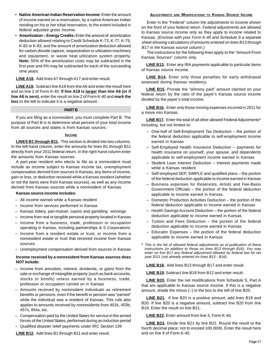- • **Native American Indian Reservation Income:** Enter the amount of income earned on a reservation, by a native American Indian residing on his or her tribal reservation, to the extent included in federal adjusted gross income.
- **Amortization Energy Credits:** Enter the amount of amortization deduction allowed relating to Credit Schedule K-73, K-77, K-79, K-82 or K-83, and the amount of amortization deduction allowed for carbon dioxide capture, sequestration or utilization machinery and equipment, or waste heat utilization system property. **Note:** 55% of the amortization costs may be subtracted in the first year and 5% may be subtracted for each of the succeeding nine years.

#### **LINE A18.** Add lines A7 through A17 and enter result.

**LINE A19.** Subtract line A18 from line A6 and enter the result here and on line 2 of Form K-40. **If line A18 is larger than line A6 (or if line A6 is zero)**, enter the result on line 2 of Form K-40 and **mark the box** to the left to indicate it is a negative amount.

#### **PART B**

If you are filing as a nonresident, you must complete Part B. The purpose of Part B is to determine what percent of your total income from all sources and states is from Kansas sources.

#### **INCOME**

**LINES B1 through B11.** This section is divided into two columns. In the left-hand column, enter the amounts for lines B1 through B11 directly from your 2011 federal return. In the right-hand column enter the amounts from Kansas sources.

A part-year resident who elects to file as a nonresident must include as income subject to Kansas income tax, unemployment compensation derived from sources in Kansas, any items of income, gain or loss, or deduction received while a Kansas resident (whether or not the items were from Kansas sources), as well as any income derived from Kansas sources while a nonresident of Kansas.

#### **Kansas source income includes:**

- – All income earned while a Kansas resident
- Income from services performed in Kansas
- Kansas lottery, pari-mutuel, casino and gambling winnings
- Income from real or tangible personal property located in Kansas
- – Income from a business, trade, profession or occupation operating in Kansas, including partnerships & S Corporations
- – Income from a resident estate or trust, or income from a nonresident estate or trust that received income from Kansas sources
- Unemployment compensation derived from sources in Kansas

#### **Income received by a nonresident from Kansas sources does NOT include:**

- – Income from annuities, interest, dividends, or gains from the sale or exchange of intangible property (such as bank accounts, stocks or bonds) unless earned by a business, trade, profession or occupation carried on in Kansas
- – Amounts received by nonresident individuals as retirement benefits or pensions, even if the benefit or pension was "earned" while the individual was a resident of Kansas. This rule also applies to amounts received by nonresidents from 401k, 403b, 457s, IRAs, etc.
- Compensation paid by the United States for service in the armed forces of the United States, performed during an induction period
- Qualified disaster relief payments under IRC Section 139

### **LINE B12.** Add lines B1 through B11 and enter result.

#### **ADJUSTMENTS AND MODIFICATIONS TO KANSAS SOURCE INCOME**

Enter in the "Federal" column the adjustments to income shown on the front of your federal return. Federal adjustments are allowed to Kansas source income only as they apply to income related to Kansas. (Enclose with your Form K-40 and Schedule S a separate sheet showing calculations of amounts entered on lines B13 through B17 in the Kansas source column.)

The instructions for the following lines apply to the "Amount From Kansas Sources" column only.

**LINE B13.** Enter any IRA payments applicable to particular items of Kansas source income.

**LINE B14.** Enter only those penalties for early withdrawal assessed during Kansas residency.

**LINE B15.** Prorate the "alimony paid" amount claimed on your federal return by the ratio of the payer's Kansas source income divided by the payer's total income.

**LINE B16.** Enter only those moving expenses incurred in 2011 for a move into Kansas.

**LINE B17.** Enter the total of all other allowed Federal Adjustments\* including, but not limited to:

- – One-half of Self-Employment Tax Deduction the portion of the federal deduction applicable to self-employment income earned in Kansas
- – Self-Employed Health Insurance Deduction payments for health insurance on yourself, your spouse, and dependents applicable to self-employment income earned in Kansas
- Student Loan Interest Deduction interest payments made while a Kansas resident
- Self-employed SEP, SIMPLE and qualified plans the portion of the federal deduction applicable to income earned in Kansas
- Business expenses for Reservists, Artists and Fee-Basis Government Officials – the portion of the federal deduction applicable to income earned in Kansas
- – Domestic Production Activities Deduction the portion of the federal deduction applicable to income earned in Kansas
- Health Savings Account Deduction the portion of the federal deduction applicable to income earned in Kansas
- $-$  Tuition and Fees Deduction  $-$  the portion of the federal deduction applicable to income earned in Kansas
- $-$  Educator Expenses  $-$  the portion of the federal deduction applicable to income earned in Kansas
- \* This is the list of allowed federal adjustments as of publication of these instructions (in addition to those on lines B13 through B16). You may enter on line B17 any federal adjustment allowed by federal law for tax year 2011 (not already entered on lines B13 - B16).

**LINE B18.** Add lines B13 through B17 and enter result.

**LINE B19.** Subtract line B18 from B12 and enter result.

**LINE B20.** Enter the net modifications from Schedule S, Part A that are applicable to Kansas source income. If this is a negative amount, shade the minus (–) in the box to the left of line B20.

**LINE B21.** If line B20 is a positive amount, add lines B19 and B20. If line B20 is a negative amount, subtract line B20 from line B19. Enter the result on line B21.

**LINE B22.** Enter amount from line 3, Form K-40.

**LINE B23.** Divide line B21 by line B22. Round the result to the fourth decimal place; not to exceed 100.0000. Enter the result here and on line 9 of Form K-40.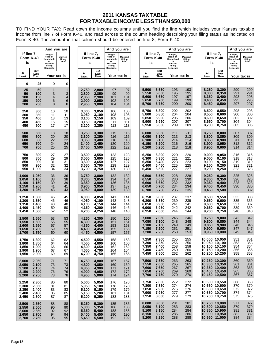### **2011 KANSAS TAX TABLE FOR TAXABLE INCOME LESS THAN \$50,000**

TO FIND YOUR TAX: Read down the income columns until you find the line which includes your Kansas taxable income from line 7 of Form K-40, and read across to the column heading describing your filing status as indicated on Form K-40. The amount in that column should be entered on line 8, Form K-40.

|                                           |                                           | And you are                                                                    |                                  |                                           |                                           | And you are                                                                    |                                 |                                           |                                           | And you are                                                                    |                                   | If line 7,                                                                        |                                            |                                                                                | And you are                     |
|-------------------------------------------|-------------------------------------------|--------------------------------------------------------------------------------|----------------------------------|-------------------------------------------|-------------------------------------------|--------------------------------------------------------------------------------|---------------------------------|-------------------------------------------|-------------------------------------------|--------------------------------------------------------------------------------|-----------------------------------|-----------------------------------------------------------------------------------|--------------------------------------------|--------------------------------------------------------------------------------|---------------------------------|
| If line 7,<br>Form K-40<br>is—            |                                           | Single,<br>Head-of-<br>Household<br>or<br><b>Married</b><br>Filing<br>Separate | Married<br>Filing<br>Joint       | If line 7,<br>Form K-40<br>is—            |                                           | Single,<br>Head-of-<br>Household<br>or<br><b>Married</b><br>Filing<br>Separate | Married<br>Filing<br>Joint      | Form K-40<br>is—                          | If line 7,                                | Single,<br>Head-of-<br>Household<br>or<br><b>Married</b><br>Filing<br>Separate | <b>Married</b><br>Filing<br>Joint |                                                                                   | Form K-40<br>is—                           | Single,<br>Head-of-<br>Household<br>or<br><b>Married</b><br>Filing<br>Separate | Married<br>Filing<br>Joint      |
| At<br>Least                               | But<br>Less<br>Than                       | Your tax is                                                                    |                                  | At<br>Least                               | But<br>Less<br>Than                       | Your tax is                                                                    |                                 | At<br>Least                               | But<br>Less<br>Than                       | Your tax is                                                                    |                                   | At<br>Least                                                                       | But<br>Less<br>Than                        |                                                                                | Your tax is                     |
| 0                                         | 25                                        | 0                                                                              | 0                                |                                           |                                           |                                                                                |                                 |                                           |                                           |                                                                                |                                   |                                                                                   |                                            |                                                                                |                                 |
| 25<br>50<br>100<br>150<br>200             | 50<br>100<br>150<br>200<br>250            | 1<br>3<br>4<br>6<br>8                                                          | $\mathbf{1}$<br>3<br>4<br>6<br>8 | 2,750<br>2,800<br>2,850<br>2,900<br>2,950 | 2,800<br>2,850<br>2,900<br>2,950<br>3,000 | 97<br>99<br>101<br>102<br>104                                                  | 97<br>99<br>101<br>102<br>104   | 5,500<br>5,550<br>5,600<br>5,650<br>5,700 | 5,550<br>5,600<br>5,650<br>5,700<br>5,750 | 193<br>195<br>197<br>199<br>200                                                | 193<br>195<br>197<br>199<br>200   | 8,250<br>8,300<br>8,350<br>8,400<br>8,450                                         | 8,300<br>8,350<br>8,400<br>8,450<br>8,500  | 290<br>291<br>293<br>295<br>297                                                | 290<br>291<br>293<br>295<br>297 |
| 250<br>300<br>350<br>400<br>450           | 300<br>350<br>400<br>450<br>500           | 10<br>11<br>13<br>15<br>17                                                     | 10<br>11<br>13<br>15<br>17       | 3,000<br>3,050<br>3,100<br>3,150<br>3,200 | 3,050<br>3,100<br>3,150<br>3,200<br>3,250 | 106<br>108<br>109<br>111<br>113                                                | 106<br>108<br>109<br>111<br>113 | 5,750<br>5,800<br>5,850<br>5,900<br>5,950 | 5,800<br>5,850<br>5,900<br>5,950<br>6,000 | 202<br>204<br>206<br>207<br>209                                                | 202<br>204<br>206<br>207<br>209   | 8,500<br>8,550<br>8,600<br>8,650<br>8,700                                         | 8,550<br>8,600<br>8,650<br>8,700<br>8,750  | 298<br>300<br>302<br>304<br>305                                                | 298<br>300<br>302<br>304<br>305 |
| 500<br>550<br>600<br>650<br>700           | 550<br>600<br>650<br>700<br>750           | 18<br>20<br>22<br>24<br>25                                                     | 18<br>20<br>22<br>24<br>25       | 3,250<br>3,300<br>3,350<br>3,400<br>3,450 | 3,300<br>3,350<br>3,400<br>3,450<br>3,500 | 115<br>116<br>118<br>120<br>122                                                | 115<br>116<br>118<br>120<br>122 | 6,000<br>6,050<br>6,100<br>6,150<br>6,200 | 6,050<br>6,100<br>6,150<br>6,200<br>6,250 | 211<br>213<br>214<br>216<br>218                                                | 211<br>213<br>214<br>216<br>218   | 8,750<br>8,800<br>8,850<br>8,900<br>8,950                                         | 8,800<br>8,850<br>8,900<br>8,950<br>9,000  | 307<br>309<br>311<br>312<br>314                                                | 307<br>309<br>311<br>312<br>314 |
| 750<br>800<br>850<br>900<br>950           | 800<br>850<br>900<br>950<br>1,000         | 27<br>29<br>31<br>32<br>34                                                     | 27<br>29<br>31<br>32<br>34       | 3,500<br>3,550<br>3,600<br>3,650<br>3,700 | 3,550<br>3,600<br>3,650<br>3,700<br>3,750 | 123<br>125<br>127<br>129<br>130                                                | 123<br>125<br>127<br>129<br>130 | 6,250<br>6,300<br>6,350<br>6,400<br>6,450 | 6,300<br>6,350<br>6,400<br>6,450<br>6,500 | 220<br>221<br>223<br>225<br>227                                                | 220<br>221<br>223<br>225<br>227   | 9,000<br>9,050<br>9,100<br>9,150<br>9,200                                         | 9,050<br>9,100<br>9,150<br>9,200<br>9,250  | 316<br>318<br>319<br>321<br>323                                                | 316<br>318<br>319<br>321<br>323 |
| 1,000<br>1,050<br>1,100<br>1,150<br>1,200 | 1,050<br>1,100<br>1,150<br>1,200<br>1,250 | 36<br>38<br>39<br>41<br>43                                                     | 36<br>38<br>39<br>41<br>43       | 3,750<br>3,800<br>3,850<br>3,900<br>3,950 | 3,800<br>3,850<br>3,900<br>3,950<br>4,000 | 132<br>134<br>136<br>137<br>139                                                | 132<br>134<br>136<br>137<br>139 | 6,500<br>6,550<br>6,600<br>6,650<br>6,700 | 6,550<br>6,600<br>6,650<br>6,700<br>6,750 | 228<br>230<br>232<br>234<br>235                                                | 228<br>230<br>232<br>234<br>235   | 9,250<br>9,300<br>9,350<br>9,400<br>9,450                                         | 9,300<br>9,350<br>9,400<br>9,450<br>9,500  | 325<br>326<br>328<br>330<br>332                                                | 325<br>326<br>328<br>330<br>332 |
| 1,250<br>1,300<br>1,350<br>1,400<br>1,450 | 1,300<br>1,350<br>1,400<br>1,450<br>1,500 | 45<br>46<br>48<br>50<br>52                                                     | 45<br>46<br>48<br>50<br>52       | 4,000<br>4,050<br>4,100<br>4,150<br>4,200 | 4,050<br>4,100<br>4,150<br>4,200<br>4,250 | 141<br>143<br>144<br>146<br>148                                                | 141<br>143<br>144<br>146<br>148 | 6,750<br>6,800<br>6,850<br>6,900<br>6,950 | 6,800<br>6,850<br>6,900<br>6,950<br>7,000 | 237<br>239<br>241<br>242<br>244                                                | 237<br>239<br>241<br>242<br>244   | 9,500<br>9,550<br>9,600<br>9,650<br>9,700                                         | 9,550<br>9,600<br>9,650<br>9,700<br>9,750  | 333<br>335<br>337<br>339<br>340                                                | 333<br>335<br>337<br>339<br>340 |
| 1,500<br>1,550<br>1,600<br>1,650<br>1,700 | 1,550<br>1,600<br>1,650<br>1,700<br>1,750 | 53<br>55<br>57<br>59<br>60                                                     | 53<br>55<br>57<br>59<br>60       | 4,250<br>4,300<br>4,350<br>4,400<br>4,450 | 4,300<br>4,350<br>4,400<br>4,450<br>4,500 | 150<br>151<br>153<br>155<br>157                                                | 150<br>151<br>153<br>155<br>157 | 7,000<br>7,050<br>7,100<br>7,150<br>7,200 | 7,050<br>7,100<br>7,150<br>7,200<br>7,250 | 246<br>248<br>249<br>251<br>253                                                | 246<br>248<br>249<br>251<br>253   | 9,750<br>9,800<br>9,850<br>9,900<br>9,950                                         | 9,800<br>9,850<br>9,900<br>9,950<br>10,000 | 342<br>344<br>346<br>347<br>349                                                | 342<br>344<br>346<br>347<br>349 |
| 1,750<br>1,800<br>1,850<br>1,900<br>1,950 | 1,800<br>1,850<br>1,900<br>1,950<br>2,000 | 62<br>64<br>66<br>67<br>69                                                     | 62<br>64<br>66<br>67<br>69       | 4,500<br>4,550<br>4,600<br>4,650<br>4,700 | 4,550<br>4,600<br>4,650<br>4,700<br>4,750 | 158<br>160<br>162<br>164<br>165                                                | 158<br>160<br>162<br>164<br>165 | 7,250<br>7,300<br>7,350<br>7,400<br>7,450 | 7,300<br>7,350<br>7,400<br>7,450<br>7,500 | 255<br>256<br>258<br>260<br>262                                                | 255<br>256<br>258<br>260<br>262   | 10,050 10,100<br>10,150 10,200<br>10,200 10,250                                   | 10,000 10,050<br>10,100 10,150             | 351<br>353<br>354<br>356<br>358                                                | 351<br>353<br>354<br>356<br>358 |
| 2,000<br>2,050<br>2,100<br>2,150<br>2,200 | 2,050<br>2,100<br>2,150<br>2,200<br>2,250 | 71<br>73<br>74<br>76<br>78                                                     | 71<br>73<br>74<br>76<br>78       | 4,750<br>4,800<br>4,850<br>4,900<br>4,950 | 4,800<br>4,850<br>4,900<br>4,950<br>5,000 | 167<br>169<br>171<br>172<br>174                                                | 167<br>169<br>171<br>172<br>174 | 7,500<br>7,550<br>7,600<br>7,650<br>7,700 | 7,550<br>7,600<br>7,650<br>7,700<br>7,750 | 263<br>265<br>267<br>269<br>270                                                | 263<br>265<br>267<br>269<br>270   | 10,250 10,300<br>10,300 10,350<br>10,350 10,400<br>10,400 10,450<br>10,450 10,500 |                                            | 360<br>361<br>363<br>365<br>367                                                | 360<br>361<br>363<br>365<br>367 |
| 2,250<br>2,300<br>2,350<br>2,400<br>2,450 | 2,300<br>2,350<br>2,400<br>2,450<br>2,500 | 80<br>81<br>83<br>85<br>87                                                     | 80<br>81<br>83<br>85<br>87       | 5,000<br>5,050<br>5,100<br>5,150<br>5,200 | 5,050<br>5,100<br>5,150<br>5,200<br>5,250 | 176<br>178<br>179<br>181<br>183                                                | 176<br>178<br>179<br>181<br>183 | 7,750<br>7,800<br>7,850<br>7,900<br>7,950 | 7,800<br>7,850<br>7,900<br>7,950<br>8,000 | 272<br>274<br>276<br>277<br>279                                                | 272<br>274<br>276<br>277<br>279   | 10,500 10,550<br>10,550 10,600<br>10,600 10,650<br>10,650 10,700<br>10,700 10,750 |                                            | 368<br>370<br>372<br>374<br>375                                                | 368<br>370<br>372<br>374<br>375 |
| 2,500<br>2,550<br>2,600<br>2,650<br>2,700 | 2,550<br>2,600<br>2,650<br>2,700<br>2,750 | 88<br>90<br>92<br>94<br>95                                                     | 88<br>90<br>92<br>94<br>95       | 5,250<br>5,300<br>5,350<br>5,400<br>5,450 | 5,300<br>5,350<br>5,400<br>5,450<br>5,500 | 185<br>186<br>188<br>190<br>192                                                | 185<br>186<br>188<br>190<br>192 | 8,000<br>8,050<br>8,100<br>8,150<br>8,200 | 8,050<br>8,100<br>8,150<br>8,200<br>8,250 | 281<br>283<br>284<br>286<br>288                                                | 281<br>283<br>284<br>286<br>288   | 10,750 10,800<br>10,800 10,850<br>10,850 10,900<br>10,900 10,950                  | 10,950 11,000                              | 377<br>379<br>381<br>382<br>384                                                | 377<br>379<br>381<br>382<br>384 |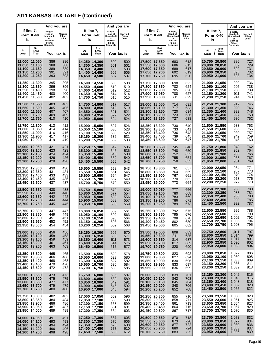## **2011 KANSAS TAX TABLE (Continued)**

|             |                                                                                    |                                                          | And you are                     |                                                                                   |                         |                                                   | And you are                     |             |                                                                                     | And you are                                       |                                 |             |                                                                                     |                                                   | And you are                     |
|-------------|------------------------------------------------------------------------------------|----------------------------------------------------------|---------------------------------|-----------------------------------------------------------------------------------|-------------------------|---------------------------------------------------|---------------------------------|-------------|-------------------------------------------------------------------------------------|---------------------------------------------------|---------------------------------|-------------|-------------------------------------------------------------------------------------|---------------------------------------------------|---------------------------------|
|             | If line $7,$<br>Form K-40<br>is—                                                   | Single,<br>Head-of-<br>Household<br>or<br><b>Married</b> | Married<br>Filing<br>Joint      | is—                                                                               | If line 7,<br>Form K-40 | Single,<br>Head-of-<br>Household<br>or<br>Married | Married<br>Filing<br>Joint      |             | If line $7,$<br>Form K-40<br>is—                                                    | Single,<br>Head-of-<br>Household<br>or<br>Married | Married<br>Filing<br>Joint      |             | If line $7$ ,<br>Form K-40<br>is—                                                   | Single,<br>Head-of-<br>Household<br>or<br>Married | Married<br>Filing<br>Joint      |
|             | <b>But</b>                                                                         | Filing<br>Separate                                       |                                 |                                                                                   |                         | Filing<br>Separate                                |                                 |             |                                                                                     | Filing<br>Separate                                |                                 |             |                                                                                     | Filing<br>Separate                                |                                 |
| At<br>Least | Less<br>Than                                                                       |                                                          | Your tax is                     | At<br>Least                                                                       | But<br>Less<br>Than     | Your tax is                                       |                                 | At<br>Least | But<br>Less<br>Than                                                                 | Your tax is                                       |                                 | At<br>Least | But<br>Less<br>Than                                                                 |                                                   | Your tax is                     |
|             | 11,000 11,050<br>11,050 11,100<br>11.100 11.150<br>11,150 11,200<br>11,200 11,250  | 386<br>388<br>389<br>391<br>393                          | 386<br>388<br>389<br>391<br>393 | 14,250 14,300<br>14,300 14,350<br>14,350 14,400<br>14,400 14,450<br>14,450 14,500 |                         | 500<br>501<br>503<br>505<br>507                   | 500<br>501<br>503<br>505<br>507 |             | 17,500 17,550<br>17,550 17,600<br>17,600 17,650<br>17.650 17.700<br>17,700 17,750   | 683<br>686<br>689<br>692<br>695                   | 613<br>615<br>617<br>619<br>620 |             | 20,750 20,800<br>20,800 20,850<br>20,850 20,900<br>20,900 20,950<br>20,950 21,000   | 886<br>889<br>892<br>895<br>898                   | 727<br>729<br>731<br>732<br>734 |
|             | 11,250 11,300<br>11.300 11.350<br>11,350 11,400<br>11,400 11,450<br>11,450 11,500  | 395<br>396<br>398<br>400<br>402                          | 395<br>396<br>398<br>400<br>402 | 14,500 14,550<br>14,550 14,600<br>14,600 14,650<br>14,650 14,700<br>14,700 14,750 |                         | 508<br>510<br>512<br>514<br>515                   | 508<br>510<br>512<br>514<br>515 |             | 17,750 17,800<br>17,800 17,850<br>17,850 17,900<br>17,900 17,950<br> 17,950 18,000  | 698<br>702<br>705<br>708<br>711                   | 622<br>624<br>626<br>627<br>629 |             | 21,000 21,050<br>21,050 21,100<br>21,100 21,150<br>21,150 21,200<br>21,200 21,250   | 902<br>905<br>908<br>911<br>914                   | 736<br>738<br>739<br>741<br>743 |
|             | 11,500 11,550<br>11,550 11,600<br>11,600 11,650<br>11,650 11,700<br>11,700 11,750  | 403<br>405<br>407<br>409<br>410                          | 403<br>405<br>407<br>409<br>410 | 14,750 14,800<br>14,800 14,850<br>14,850 14,900<br>14,900 14,950<br>14,950 15,000 |                         | 517<br>519<br>521<br>522<br>524                   | 517<br>519<br>521<br>522<br>524 |             | 18,000 18,050<br> 18,050 18,100<br>18,100 18,150<br>18,150 18,200<br>18,200 18,250  | 714<br>717<br>720<br>723<br>727                   | 631<br>633<br>634<br>636<br>638 |             | 21,250 21,300<br>21,300 21,350<br>21,350 21,400<br>21,400 21,450<br>21,450 21,500   | 917<br>920<br>923<br>927<br>930                   | 745<br>746<br>748<br>750<br>752 |
|             | 11,750 11,800<br>11,800 11,850<br>11,850 11,900<br>11,900 11,950<br>11,950 12,000  | 412<br>414<br>416<br>417<br>419                          | 412<br>414<br>416<br>417<br>419 | 15,000 15,050<br>15,050 15,100<br>15,100 15,150<br>15,150 15,200<br>15,200 15,250 |                         | 527<br>530<br>533<br>536<br>539                   | 526<br>528<br>529<br>531<br>533 |             | 18,250 18,300<br>18,300 18,350<br>18,350 18,400<br>18,400 18,450<br>18,450 18,500   | 730<br>733<br>736<br>739<br>742                   | 640<br>641<br>643<br>645<br>647 |             | 21,500 21,550<br> 21,550 21,600<br>21,600 21,650<br>21,650 21,700<br>21,700 21,750  | 933<br>936<br>939<br>942<br>945                   | 753<br>755<br>757<br>759<br>760 |
|             | 12,000 12,050<br>12,050 12,100<br>12,100 12,150<br>12,150 12,200<br>12,200 12,250  | 421<br>423<br>424<br>426<br>428                          | 421<br>423<br>424<br>426<br>428 | 15,250 15,300<br>15,300 15,350<br>15,350 15,400<br>15,400 15,450<br>15,450 15,500 |                         | 542<br>545<br>548<br>552<br>555                   | 535<br>536<br>538<br>540<br>542 |             | 18,500 18,550<br>18,550 18,600<br>18,600 18,650<br>18,650 18,700<br>18,700 18,750   | 745<br>748<br>752<br>755<br>758                   | 648<br>650<br>652<br>654<br>655 |             | 21,750 21,800<br>21,800 21,850<br>21,850 21,900<br>21,900 21,950<br>21,950 22,000   | 948<br>952<br>955<br>958<br>961                   | 762<br>764<br>766<br>767<br>769 |
|             | 12,250 12,300<br>12,300 12,350<br>12,350 12,400<br>12,400 12,450<br>12,450 12,500  | 430<br>431<br>433<br>435<br>437                          | 430<br>431<br>433<br>435<br>437 | 15,500 15,550<br>15,550 15,600<br>15,600 15,650<br>15,650 15,700<br>15,700 15,750 |                         | 558<br>561<br>564<br>567<br>570                   | 543<br>545<br>547<br>549<br>550 |             | 18,750 18,800<br>18,800 18,850<br>18,850 18,900<br>18,900 18,950<br>18,950 19,000   | 761<br>764<br>767<br>770<br>773                   | 657<br>659<br>661<br>662<br>664 |             | 22,000 22,050<br>22,050 22,100<br>22,100 22,150<br>22,150 22,200<br>22,200 22,250   | 964<br>967<br>970<br>973<br>977                   | 771<br>773<br>774<br>776<br>778 |
|             | 12,500 12,550<br>12,550 12,600<br>12,600 12,650<br>12,650 12,700<br>12,700 12,750  | 438<br>440<br>442<br>444<br>445                          | 438<br>440<br>442<br>444<br>445 | 15,750 15,800<br>15,800 15,850<br>15,850 15,900<br>15,900 15,950<br>15,950 16,000 |                         | 573<br>577<br>580<br>583<br>586                   | 552<br>554<br>556<br>557<br>559 |             | 19,000 19,050<br>19,050 19,100<br>19,100 19,150<br>19,150 19,200<br>19,200 19,250   | 777<br>780<br>783<br>786<br>789                   | 666<br>668<br>669<br>671<br>673 |             | 22,250 22,300<br>22,300 22,350<br>22,350 22,400<br>22,400 22,450<br>22,450 22,500   | 980<br>983<br>986<br>989<br>992                   | 780<br>781<br>783<br>785<br>787 |
|             | 12,750 12,800<br>12.800 12.850<br>12,850 12,900<br>12,900 12,950<br>12,950 13,000  | 447<br>449<br>451<br>452<br>454                          | 447<br>449<br>451<br>452<br>454 | 16.000 16.050<br>16,050 16,100<br>16,100 16,150<br>16.150 16.200<br>16,200 16,250 |                         | 589<br>592<br>595<br>598<br>602                   | 561<br>563<br>564<br>566<br>568 |             | 19,250 19,300<br> 19,300 19,350<br>19,350 19,400<br> 19,400 19,450<br>19,450 19,500 | 792<br>795<br>798<br>802<br>805                   | 675<br>676<br>678<br>680<br>682 |             | 22,500 22,550<br>22,550 22,600<br>22,600 22,650<br> 22.650 22.700 <br>22,700 22,750 | 995<br>998<br>1,002<br>1,005<br>1,008             | 788<br>790<br>792<br>794<br>795 |
|             | 13,000 13,050<br>13,050 13,100<br>13,100 13,150<br>13,150 13,200<br>13,200 13,250  | 456<br>458<br>459<br>461<br>463                          | 456<br>458<br>459<br>461<br>463 | 16,250 16,300<br>16,300 16,350<br>16,350 16,400<br>16,400 16,450<br>16,450 16,500 |                         | 605<br>608<br>611<br>614<br>617                   | 570<br>571<br>573<br>575<br>577 |             | 19,500 19,550<br>19,550 19,600<br>19,600 19,650<br>19,650 19,700<br> 19,700 19,750  | 808<br>811<br>814<br>817<br>820                   | 683<br>685<br>687<br>689<br>690 |             | 22,750 22,800<br>22,800 22,850<br>22,850 22,900<br>22,900 22,950<br>22,950 23,000   | 1,011<br>1,014<br>1,017<br>1,020<br>1,023         | 797<br>799<br>801<br>802<br>804 |
|             | 13,250 13,300<br>13,300 13,350<br>13,350 13,400<br>13,400 13,450<br>13,450 13,500  | 465<br>466<br>468<br>470<br>472                          | 465<br>466<br>468<br>470<br>472 | 16,500 16,550<br>16,550 16,600<br>16,600 16,650<br>16,650 16,700<br>16,700 16,750 |                         | 620<br>623<br>627<br>630<br>633                   | 578<br>580<br>582<br>584<br>585 |             | 19,750 19,800<br>19,800 19,850<br>19.850 19.900<br> 19,900 19,950<br> 19,950 20,000 | 823<br>827<br>830<br>833<br>836                   | 692<br>694<br>696<br>697<br>699 |             | 23,000 23,050<br>23,050 23,100<br>23,100 23,150<br>23,150 23,200<br>23,200 23,250   | 1,027<br>1,030<br>1,033<br>1,036<br>1,039         | 806<br>808<br>809<br>811<br>813 |
|             | 13,500 13,550<br>13,550 13,600<br>13,600 13,650<br>13,650 13,700<br>13,700 13,750  | 473<br>475<br>477<br>479<br>480                          | 473<br>475<br>477<br>479<br>480 | 16,750 16,800<br>16,800 16,850<br>16,850 16,900<br>16,900 16,950<br>16,950 17,000 |                         | 636<br>639<br>642<br>645<br>648                   | 587<br>589<br>591<br>592<br>594 |             | 20,000 20,050<br> 20,050 20,100<br>20,100 20,150<br> 20,150 20,200<br>20,200 20,250 | 839<br>842<br>845<br>848<br>852                   | 701<br>703<br>704<br>706<br>708 |             | 23,250 23,300<br>23,300 23,350<br>23,350 23,400<br>23,400 23,450<br>23,450 23,500   | 1,042<br>1,045<br>1,048<br>1,052<br>1,055         | 815<br>816<br>818<br>820<br>822 |
|             | 13,750 13,800<br> 13,800 13,850<br>13,850 13,900<br>13,900 13,950<br>13,950 14,000 | 482<br>484<br>486<br>487<br>489                          | 482<br>484<br>486<br>487<br>489 | 17,000 17,050<br>17,050 17,100<br>17,100 17,150<br>17,150 17,200<br>17,200 17,250 |                         | 652<br>655<br>658<br>661<br>664                   | 596<br>598<br>599<br>601<br>603 |             | 20,250 20,300<br> 20,300 20,350<br>20,350 20,400<br>20,400 20,450<br> 20,450 20,500 | 855<br>858<br>861<br>864<br>867                   | 710<br>711<br>713<br>715<br>717 |             | 23,500 23,550<br>23,550 23,600<br>23,600 23,650<br>23,650 23,700<br>23,700 23,750   | 1,058<br>1,061<br>1,064<br>1,067<br>1,070         | 823<br>825<br>827<br>829<br>830 |
|             | 14,000 14,050<br>14,050 14,100<br>14,100 14,150<br>14,150 14,200<br>14,200 14,250  | 491<br>493<br>494<br>496<br>498                          | 491<br>493<br>494<br>496<br>498 | 17,250 17,300<br>17,300 17,350<br>17,350 17,400<br>17,400 17,450<br>17,450 17,500 |                         | 667<br>670<br>673<br>677<br>680                   | 605<br>606<br>608<br>610<br>612 |             | 20,500 20,550<br> 20,550 20,600<br>20,600 20,650<br>20,650 20,700<br>20,700 20,750  | 870<br>873<br>877<br>880<br>883                   | 718<br>720<br>722<br>724<br>725 |             | 23,750 23,800<br>23,800 23,850<br>23,850 23,900<br>23,900 23,950<br>23,950 24,000   | 1,073<br>1,077<br>1,080<br>1,083<br>1,086         | 832<br>834<br>836<br>837<br>839 |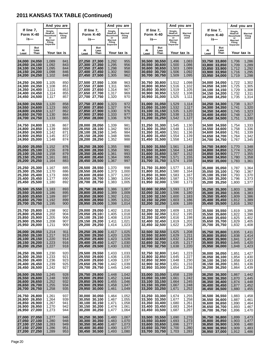## **2011 KANSAS TAX TABLE (Continued)**

|             |                                                                                     | And you are                                                                    |                                   |                                                                                    |                                  |                                                                                | And you are                               |                                                                                   |                                                                  |                                                                                | And you are                               |             |                                                                                   |                                                                                | And you are                               |
|-------------|-------------------------------------------------------------------------------------|--------------------------------------------------------------------------------|-----------------------------------|------------------------------------------------------------------------------------|----------------------------------|--------------------------------------------------------------------------------|-------------------------------------------|-----------------------------------------------------------------------------------|------------------------------------------------------------------|--------------------------------------------------------------------------------|-------------------------------------------|-------------|-----------------------------------------------------------------------------------|--------------------------------------------------------------------------------|-------------------------------------------|
|             | If line 7,<br>Form K-40<br>is—                                                      | Single,<br>Head-of-<br>Household<br>or<br><b>Married</b><br>Filing<br>Separate | <b>Married</b><br>Filing<br>Joint |                                                                                    | If line $7,$<br>Form K-40<br>is— | Single,<br>Head-of-<br>Household<br>or<br><b>Married</b><br>Filing<br>Separate | <b>Married</b><br>Filing<br>Joint         | If line 7,<br>Form K-40                                                           | is—                                                              | Single,<br>Head-of-<br>Household<br>or<br><b>Married</b><br>Filing<br>Separate | Married<br>Filing<br>Joint                |             | If line $7,$<br>Form K-40<br>is—                                                  | Single,<br>Head-of-<br>Household<br>or<br><b>Married</b><br>Filing<br>Separate | Married<br>Filing<br>Joint                |
| At<br>Least | But<br>Less<br>Than                                                                 | Your tax is                                                                    |                                   | At<br>Least                                                                        | But<br>Less<br>Than              |                                                                                | Your tax is                               | At<br>Least                                                                       | But<br>Less<br>Than                                              |                                                                                | Your tax is                               | At<br>Least | But<br>Less<br>Than                                                               | Your tax is                                                                    |                                           |
|             | 24,000 24,050<br>24,050 24,100<br>24,100 24,150<br>24,150 24,200<br>24,200 24,250   | 1,089<br>1,092<br>1,095<br>1,098<br>1,102                                      | 841<br>843<br>844<br>846<br>848   | 27,250 27,300<br>27,300 27,350<br>27,350 27,400<br>27,400 27,450<br>27,450 27,500  |                                  | 1,292<br>1,295<br>1,298<br>1,302<br>1,305                                      | 955<br>956<br>958<br>960<br>962           | 30,500 30,550<br>30,550 30,600<br>30,650 30,700                                   | 30,600 30,650<br>30,700 30,750                                   | 1,496<br>1,500<br>1,503<br>1,506<br>1,509                                      | 1,083<br>1,086<br>1,089<br>1,092<br>1,095 |             | 33,750 33,800<br>33,800 33,850<br>33,850 33,900<br>33,900 33,950<br>33,950 34,000 | 1,706<br>1,709<br>1,712<br>1,716<br>1,719                                      | 1,286<br>1,289<br>1,292<br>1,295<br>1,298 |
|             | 24,250 24,300<br>24,300 24,350<br>24,350 24,400<br> 24,400 24,450<br>24,450 24,500  | 1,105<br>1,108<br>1,111<br>1,114<br>1,117                                      | 850<br>851<br>853<br>855<br>857   | 27,500 27,550<br>27,550 27,600<br>27,600 27,650<br>27,650 27,700<br>27,700 27,750  |                                  | 1,308<br>1,311<br>1,314<br>1,317<br>1,320                                      | 963<br>965<br>967<br>969<br>970           | 30,750 30,800<br>30,950 31,000                                                    | 30,800 30,850<br>30,850 30,900<br>30,900 30,950                  | 1,512<br>1,516<br>1,519<br>1,522<br>1,525                                      | 1,098<br>1,102<br>1,105<br>1,108<br>1,111 |             | 34,000 34,050<br>34.050 34.100<br>34,100 34,150<br>34,150 34,200<br>34,200 34,250 | 1,722<br>1,725<br>1,729<br>1,732<br>1,735                                      | 1,302<br>1,305<br>1,308<br>1,311<br>1,314 |
|             | 24,500 24,550<br>24,550 24,600<br>24.600 24.650<br>24,650 24,700<br>24,700 24,750   | 1,120<br>1,123<br>1,127<br>1,130<br>1,133                                      | 858<br>860<br>862<br>864<br>865   | 27,750 27,800<br>27,800 27,850<br>27,850 27,900<br>27,900 27,950<br>27,950 28,000  |                                  | 1,323<br>1,327<br>1,330<br>1,333<br>1,336                                      | 972<br>974<br>976<br>977<br>979           | 31,000 31,050<br>31,050 31,100<br>31,100 31,150<br>31,150 31,200                  | 31,200 31,250                                                    | 1,529<br>1,532<br>1,535<br>1,538<br>1,542                                      | 1,114<br>1,117<br>1,120<br>1,123<br>1,127 |             | 34,250 34,300<br>34,300 34,350<br>34,350 34,400<br>34.400 34.450<br>34,450 34,500 | 1,738<br>1,741<br>1,745<br>1,748<br>1,751                                      | 1,317<br>1,320<br>1,323<br>1,327<br>1,330 |
|             | 24,750 24,800<br>24,800 24,850<br>24.850 24.900<br>24,900 24,950<br>24,950 25,000   | 1,136<br>1,139<br>1,142<br>1,145<br>1,148                                      | 867<br>869<br>871<br>872<br>874   | 28,000 28,050<br>28,050 28,100<br>28,100 28,150<br> 28,150 28,200<br>28,200 28,250 |                                  | 1,339<br>1,342<br>1,345<br>1,348<br>1,352                                      | 981<br>983<br>984<br>986<br>988           | 31,250 31,300<br>31,450 31,500                                                    | 31,300 31,350<br>31.350 31.400<br>31,400 31,450                  | 1,545<br>1,548<br>1,551<br>1,554<br>1,558                                      | 1,130<br>1,133<br>1,136<br>1,139<br>1,142 |             | 34,500 34,550<br>34,550 34,600<br>34,600 34,650<br>34,650 34,700<br>34,700 34,750 | 1,754<br>1,758<br>1,761<br>1,764<br>1,767                                      | 1,333<br>1,336<br>1,339<br>1,342<br>1,345 |
|             | 25,000 25,050<br>25,050 25,100<br>25,100 25,150<br>25,150 25,200<br>25,200 25,250   | 1,152<br>1,155<br>1,158<br>1,161<br>1,164                                      | 876<br>878<br>879<br>881<br>883   | 28,250 28,300<br>28,300 28,350<br>28,350 28,400<br>28,400 28,450<br>28,450 28,500  |                                  | 1,355<br>1,358<br>1,361<br>1,364<br>1,367                                      | 990<br>991<br>993<br>995<br>997           | 31,500 31,550<br>31,550 31,600<br>31,600 31,650<br>31,650 31,700<br>31,700 31,750 |                                                                  | 1,561<br>1,564<br>1,567<br>1,571<br>1,574                                      | 1,145<br>1,148<br>1,152<br>1,155<br>1,158 |             | 34,750 34,800<br>34,800 34,850<br>34,850 34,900<br>34,900 34,950<br>34,950 35,000 | 1,770<br>1,774<br>1,777<br>1,780<br>1,783                                      | 1,348<br>1,352<br>1,355<br>1,358<br>1,361 |
|             | 25,250 25,300<br>25,300 25,350<br>25,350 25,400<br> 25,400 25,450<br>25,450 25,500  | 1,167<br>1,170<br>1,173<br>1,177<br>1,180                                      | 885<br>886<br>888<br>890<br>892   | 28,500 28,550<br>28,550 28,600<br>28,600 28,650<br> 28,650 28,700<br>28,700 28,750 |                                  | 1,370<br>1,373<br>1,377<br>1,380<br>1,383                                      | 998<br>1,000<br>1,002<br>1,004<br>1,005   | 31,750 31,800<br>31,950 32,000                                                    | 31,800 31,850<br>31,850 31,900<br>31,900 31,950                  | 1,577<br>1,580<br>1,583<br>1,587<br>1,590                                      | 1,161<br>1,164<br>1,167<br>1,170<br>1,173 |             | 35,000 35,050<br>35,050 35,100<br>35,100 35,150<br>35,150 35,200<br>35,200 35,250 | 1,787<br>1,790<br>1,793<br>1,796<br>1,800                                      | 1,364<br>1,367<br>1,370<br>1,373<br>1,377 |
|             | 25,500 25,550<br>25,550 25,600<br>25,600 25,650<br>25,650 25,700<br>25,700 25,750   | 1,183<br>1,186<br>1,189<br>1,192<br>1,195                                      | 893<br>895<br>897<br>899<br>900   | 28,750 28,800<br>28,800 28,850<br>28,850 28,900<br> 28,900 28,950<br>28,950 29,000 |                                  | 1,386<br>1,389<br>1,392<br>1,395<br>1,398                                      | 1,007<br>1,009<br>1,011<br>1,012<br>1,014 | 32,000 32,050<br>32,100 32,150<br>32,150 32,200<br>32,200 32,250                  | 32,050 32,100                                                    | 1,593<br>1,596<br>1,600<br>1,603<br>1,606                                      | 1,177<br>1,180<br>1,183<br>1,186<br>1,189 |             | 35,250 35,300<br>35,300 35,350<br>35,350 35,400<br>35,400 35,450<br>35,450 35,500 | 1,803<br>1,806<br>1,809<br>1,812<br>1,816                                      | 1,380<br>1,383<br>1,386<br>1,389<br>1,392 |
|             | 25,750 25,800<br>25,800 25,850<br>25,850 25,900<br>25,900 25,950<br>25,950 26,000   | 1,198<br>1,202<br>1,205<br>1,208<br>1,211                                      | 902<br>904<br>906<br>907<br>909   | 29,000 29,050<br>29,050 29,100<br>29,100 29,150<br>29,150 29,200<br>29,200 29,250  |                                  | 1,402<br>1,405<br>1,408<br>1,411<br>1,414                                      | 1,016<br>1,018<br>1,019<br>1,021<br>1,023 | 32,400 32,450                                                                     | 32,250 32,300<br>32,300 32,350<br>32,350 32,400<br>32,450 32,500 | 1,609<br>1,612<br>1,616<br>1,619<br>1,622                                      | 1,192<br>1,195<br>1,198<br>1,202<br>1,205 |             | 35,500 35,550<br>35,550 35,600<br>35,600 35,650<br>35,650 35,700<br>35,700 35,750 | 1,819<br>1,822<br>1,825<br>1,829<br>1,832                                      | 1,395<br>1,398<br>1,402<br>1,405<br>1,408 |
|             | 26,000 26,050<br>26,050 26,100<br>26,100 26,150<br>26,150 26,200<br> 26,200 26,250  | 1,214<br>1,217<br>1,220<br>1,223<br>1,227                                      | 911<br>913<br>914<br>916<br>918   | 29,250 29,300<br>29,300 29,350<br>29,350 29,400<br>29,400 29,450<br>29,450 29,500  |                                  | 1,417<br>1,420<br>1,423<br>1,427<br>1,430                                      | 1,025<br>1,026<br>1,028<br>1,030<br>1,032 | 32,500 32,550<br>32,550 32,600<br>32,600 32,650<br>32,650 32,700<br>32,700 32,750 |                                                                  | 1,625<br>1,629<br>1,632<br>1,635<br>1,638                                      | 1,208<br>1,211<br>1,214<br>1,217<br>1,220 |             | 35,750 35,800<br>35,800 35,850<br>35,850 35,900<br>35,900 35,950<br>35,950 36,000 | 1,835<br>1,838<br>1,841<br>1,845<br>1,848                                      | 1,411<br>1,414<br>1,417<br>1,420<br>1,423 |
|             | 26,250 26,300<br>26,300 26,350<br>26,350 26,400<br>26,400 26,450<br>26,450 26,500   | 1,230<br>1,233<br>1,236<br>1,239<br>1,242                                      | 920<br>921<br>923<br>925<br>927   | 29,500 29,550<br>29,550 29,600<br>29,600 29,650<br>29,650 29,700<br>29,700 29,750  |                                  | 1,433<br>1,436<br>1,439<br>1,442<br>1,445                                      | 1,033<br>1,035<br>1,037<br>1,039<br>1,040 | 32,750 32,800<br>32,950 33,000                                                    | 32,800 32,850<br>32,850 32,900<br>32,900 32,950                  | 1,641<br>1,645<br>1,648<br>1,651<br>1,654                                      | 1,223<br>1,227<br>1,230<br>1,233<br>1,236 |             | 36,000 36,050<br>36,050 36,100<br>36,100 36,150<br>36,150 36,200<br>36,200 36,250 | 1,851<br>1,854<br>1,858<br>1,861<br>1,864                                      | 1,427<br>1,430<br>1,433<br>1,436<br>1,439 |
|             | 26,500 26,550<br>26,550 26,600<br>26,600 26,650<br> 26,650 26,700<br> 26,700 26,750 | 1,245<br>1,248<br>1,252<br>1,255<br>1,258                                      | 928<br>930<br>932<br>934<br>935   | 29,750 29,800<br>29,800 29,850<br>29,850 29,900<br> 29,900 29,950<br>29,950 30,000 |                                  | 1,448<br>1,452<br>1,455<br>1,458<br>1,461                                      | 1,042<br>1,044<br>1,046<br>1,047<br>1,049 | 33,000 33,050<br>33,050 33,100<br>33,100 33,150<br>33,150 33,200<br>33,200 33,250 |                                                                  | 1,658<br>1,661<br>1,664<br>1,667<br>1,671                                      | 1,239<br>1,242<br>1,245<br>1,248<br>1,252 |             | 36,250 36,300<br>36,300 36,350<br>36,350 36,400<br>36,400 36,450<br>36,450 36,500 | 1,867<br>1,870<br>1,874<br>1,877<br>1,880                                      | 1,442<br>1,445<br>1,448<br>1,452<br>1,455 |
|             | 26,750 26,800<br>26,800 26,850<br>26,850 26,900<br>26,900 26,950<br> 26,950 27,000  | 1,261<br>1,264<br>1,267<br>1,270<br>1,273                                      | 937<br>939<br>941<br>942<br>944   | 30,000 30,050<br>30,050 30,100<br>30,150 30,200<br>30,200 30,250                   | 30,100 30,150                    | 1,464<br>1,467<br>1,471<br>1,474<br>1,477                                      | 1,052<br>1,055<br>1,058<br>1,061<br>1,064 | 33,250 33,300                                                                     | 33,300 33,350<br>33,350 33,400<br>33,400 33,450<br>33,450 33,500 | 1,674<br>1,677<br>1,680<br>1,683<br>1,687                                      | 1,255<br>1,258<br>1,261<br>1,264<br>1,267 |             | 36,500 36,550<br>36,550 36,600<br>36,600 36,650<br>36,650 36,700<br>36,700 36,750 | 1,883<br>1,887<br>1,890<br>1,893<br>1,896                                      | 1,458<br>1,461<br>1,464<br>1,467<br>1,470 |
|             | 27,000 27,050<br>27,050 27,100<br>27,100 27,150<br> 27,150 27,200<br> 27,200 27,250 | 1,277<br>1,280<br>1,283<br>1,286<br>1,289                                      | 946<br>948<br>949<br>951<br>953   | 30,250 30,300<br>30,300 30,350<br>30,350 30,400<br>30,400 30,450<br>30,450 30,500  |                                  | 1,480<br>1,483<br>1,487<br>1,490<br>1,493                                      | 1,067<br>1,070<br>1,073<br>1,077<br>1,080 | 33,500 33,550<br>33,600 33,650<br>33,650 33,700                                   | 33,550 33,600<br>33,700 33,750                                   | 1,690<br>1,693<br>1,696<br>1,700<br>1,703                                      | 1,270<br>1,273<br>1,277<br>1,280<br>1,283 |             | 36,750 36,800<br>36,800 36,850<br>36,850 36,900<br>36,900 36,950<br>36,950 37,000 | 1,899<br>1,903<br>1,906<br>1,909<br>1,912                                      | 1,473<br>1,477<br>1,480<br>1,483<br>1,486 |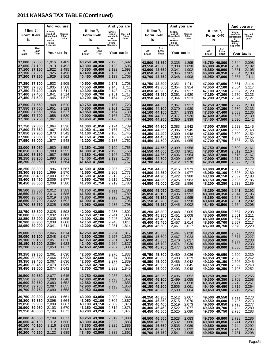## **2011 KANSAS TAX TABLE (Continued)**

|             |                                                                                       | And you are                                                                           |                                           |                                                                                   |                                |                                                                                | And you are                               |                                |                                                                                   | And you are                                                                    |                                           |  |                                |                                                                                     | And you are                                                             |                                           |
|-------------|---------------------------------------------------------------------------------------|---------------------------------------------------------------------------------------|-------------------------------------------|-----------------------------------------------------------------------------------|--------------------------------|--------------------------------------------------------------------------------|-------------------------------------------|--------------------------------|-----------------------------------------------------------------------------------|--------------------------------------------------------------------------------|-------------------------------------------|--|--------------------------------|-------------------------------------------------------------------------------------|-------------------------------------------------------------------------|-------------------------------------------|
|             | If line 7,<br>Form K-40<br>is—                                                        | Single,<br>Head-of-<br>Household<br>or<br><b>Married</b><br><b>Filing</b><br>Separate | Married<br>Filing<br>Joint                |                                                                                   | If line 7,<br>Form K-40<br>is— | Single,<br>Head-of-<br>Household<br>or<br><b>Married</b><br>Filing<br>Separate | Married<br>Filing<br>Joint                | Form K-40                      | If line 7,<br>is—                                                                 | Single,<br>Head-of-<br>Household<br>or<br><b>Married</b><br>Filing<br>Separate | Married<br>Filing<br>Joint                |  | If line 7,<br>Form K-40<br>is— |                                                                                     | Single,<br>Head-of-<br>Household<br>or<br>Married<br>Filing<br>Separate | Married<br>Filing<br>Joint                |
| At<br>Least | But<br>Less<br>Than                                                                   | Your tax is                                                                           |                                           | At<br>Least                                                                       | But<br>Less<br>Than            | Your tax is                                                                    |                                           | At<br>Least                    | But<br>Less<br>Than                                                               | Your tax is                                                                    |                                           |  | At<br>Least                    | But<br>Less<br>Than                                                                 | Your tax is                                                             |                                           |
|             | 37,000 37,050<br>37,050 37,100<br>37,100 37,150<br> 37,150 37,200<br>37,200 37,250    | 1,916<br>1,919<br>1,922<br>1,925<br>1,929                                             | 1,489<br>1,492<br>1,495<br>1,498<br>1,502 | 40,250 40,300<br>40,300 40,350<br>40,350 40,400<br>40,400 40,450<br>40,450 40,500 |                                | 2,125<br>2,128<br>2,132<br>2,135<br>2,138                                      | 1,692<br>1,695<br>1,698<br>1,702<br>1,705 | 43.600 43.650                  | 43,500 43,550<br>43,550 43,600<br>43,650 43,700<br>43,700 43,750                  | 2,335<br>2,338<br>2,341<br>2,345<br>2,348                                      | 1,895<br>1,898<br>1,902<br>1,905<br>1,908 |  |                                | 46,750 46,800<br>46,800 46,850<br>46,850 46,900<br>46,900 46,950<br>46,950 47,000   | 2,544<br>2,548<br>2,551<br>2,554<br>2,557                               | 2,098<br>2,102<br>2,105<br>2,108<br>2,111 |
|             | 37,250 37,300<br>37,300 37,350<br>37,350 37,400<br> 37,400 37,450<br>37,450 37,500    | 1,932<br>1,935<br>1,938<br>1,941<br>1,945                                             | 1,505<br>1,508<br>1,511<br>1,514<br>1,517 | 40.500 40.550<br>40,550 40,600<br>40,600 40,650<br>40,650 40,700<br>40,700 40,750 |                                | 2,141<br>2,145<br>2,148<br>2,151<br>2,154                                      | 1,708<br>1,711<br>1,714<br>1,717<br>1,720 | 43,750 43,800                  | 43,800 43,850<br>43,850 43,900<br>43,900 43,950<br>43,950 44,000                  | 2,351<br>2,354<br>2,357<br>2,361<br>2,364                                      | 1,911<br>1,914<br>1,917<br>1,920<br>1,923 |  |                                | 47,000 47,050<br>47,050 47,100<br>47,100 47,150<br>47,150 47,200<br>47,200 47,250   | 2,561<br>2,564<br>2,567<br>2,570<br>2,574                               | 2,114<br>2,117<br>2,120<br>2,123<br>2,127 |
|             | 37,500 37,550<br> 37,550 37,600<br>37,600 37,650<br> 37,650 37,700<br>37,700 37,750   | 1,948<br>1,951<br>1,954<br>1,958<br>1,961                                             | 1,520<br>1,523<br>1,527<br>1,530<br>1,533 | 40,750 40,800<br>40,800 40,850<br>40.850 40.900<br>40,900 40,950<br>40,950 41,000 |                                | 2,157<br>2,161<br>2,164<br>2,167<br>2,170                                      | 1,723<br>1,727<br>1,730<br>1,733<br>1,736 |                                | 44,000 44,050<br>44,050 44,100<br>44,100 44,150<br>44,150 44,200<br>44,200 44,250 | 2,367<br>2,370<br>2,374<br>2,377<br>2,380                                      | 1,927<br>1,930<br>1,933<br>1,936<br>1,939 |  |                                | 47,250 47,300<br>47,300 47,350<br>47.350 47.400<br>47,400 47,450<br>47,450 47,500   | 2,577<br>2,580<br>2,583<br>2,586<br>2,590                               | 2,130<br>2,133<br>2,136<br>2,139<br>2,142 |
|             | 137.750 37.800<br>37,800 37,850<br> 37,850 37,900<br> 37,900 37,950<br>37,950 38,000  | 1,964<br>1,967<br>1,970<br>1,974<br>1,977                                             | 1,536<br>1,539<br>1,542<br>1,545<br>1,548 | 41,000 41,050<br>41,050 41,100<br>41,100 41,150<br>41,150 41,200<br>41,200 41,250 |                                | 2,174<br>2,177<br>2,180<br>2,183<br>2,187                                      | 1,739<br>1,742<br>1,745<br>1,748<br>1,752 |                                | 44,250 44,300<br>44,300 44,350<br>44,350 44,400<br>44,400 44,450<br>44,450 44,500 | 2,383<br>2,386<br>2,390<br>2,393<br>2,396                                      | 1.942<br>1,945<br>1,948<br>1,952<br>1,955 |  |                                | 47,500 47,550<br>47,550 47,600<br>47,600 47,650<br>47,650 47,700<br>47,700 47,750   | 2,593<br>2,596<br>2,599<br>2,603<br>2,606                               | 2,145<br>2,148<br>2,152<br>2,155<br>2,158 |
|             | 38.000 38.050<br> 38.050 38.100<br>38,100 38,150<br> 38,150 38,200<br>38,200 38,250   | 1,980<br>1,983<br>1,987<br>1,990<br>1,993                                             | 1,552<br>1,555<br>1,558<br>1,561<br>1,564 | 41,250 41,300<br>41,300 41,350<br>41,350 41,400<br>41,400 41,450<br>41,450 41,500 |                                | 2,190<br>2,193<br>2,196<br>2,199<br>2,203                                      | 1,755<br>1,758<br>1,761<br>1,764<br>1,767 |                                | 44,500 44,550<br>44,550 44,600<br>44,600 44,650<br>44,650 44,700<br>44,700 44,750 | 2,399<br>2,403<br>2,406<br>2,409<br>2,412                                      | 1,958<br>1,961<br>1,964<br>1,967<br>1,970 |  |                                | 47,750 47,800<br>47.800 47.850<br>47,850 47,900<br>47,900 47,950<br>47,950 48,000   | 2,609<br>2,612<br>2,615<br>2,619<br>2,622                               | 2,161<br>2,164<br>2,167<br>2,170<br>2,173 |
|             | 38,250 38,300<br>38,300 38,350<br>38,350 38,400<br> 38,400 38,450<br>38,450 38,500    | 1,996<br>1,999<br>2,003<br>2,006<br>2,009                                             | 1,567<br>1,570<br>1,573<br>1,577<br>1,580 | 41,500 41,550<br>41,550 41,600<br>41,600 41,650<br>41,650 41,700<br>41,700 41,750 |                                | 2,206<br>2,209<br>2,212<br>2,216<br>2,219                                      | 1,770<br>1,773<br>1,777<br>1,780<br>1,783 |                                | 44,750 44,800<br>44,800 44,850<br>44,850 44,900<br>44,900 44,950<br>44,950 45,000 | 2,415<br>2,419<br>2,422<br>2,425<br>2,428                                      | 1,973<br>1,977<br>1,980<br>1,983<br>1,986 |  |                                | 48,000 48,050<br>48,050 48,100<br>48,100 48,150<br>48,150 48,200<br>48,200 48,250   | 2,625<br>2,628<br>2,632<br>2,635<br>2,638                               | 2,177<br>2,180<br>2,183<br>2,186<br>2,189 |
|             | 38,500 38,550<br> 38,550 38,600<br> 38.600 38.650<br>38,650 38,700<br>38,700 38,750   | 2,012<br>2,016<br>2,019<br>2,022<br>2,025                                             | 1,583<br>1,586<br>1,589<br>1,592<br>1,595 | 41,750 41,800<br>41,800 41,850<br>41,850 41,900<br>41,900 41,950<br>41,950 42,000 |                                | 2,222<br>2,225<br>2,228<br>2,232<br>2,235                                      | 1,786<br>1,789<br>1,792<br>1,795<br>1,798 |                                | 45,000 45,050<br>45,050 45,100<br>45,100 45,150<br>45,150 45,200<br>45,200 45,250 | 2,432<br>2,435<br>2,438<br>2,441<br>2,445                                      | 1,989<br>1,992<br>1,995<br>1,998<br>2,002 |  |                                | 48,250 48,300<br>48,300 48,350<br>48,350 48,400<br>48,400 48,450<br>48,450 48,500   | 2,641<br>2,644<br>2,648<br>2,651<br>2,654                               | 2,192<br>2,195<br>2,198<br>2,202<br>2,205 |
|             | 38,750 38,800<br>38,800 38,850<br>38,850 38,900<br>38,900 38,950<br>38,950 39,000     | 2,028<br>2,032<br>2,035<br>2,038<br>2,041                                             | 1,598<br>1,602<br>1,605<br>1,608<br>1,611 | 42,000 42,050<br>42,050 42,100<br>42,100 42,150<br>42,200 42,250                  | 42,150 42,200                  | 2,238<br>2,241<br>2,245<br>2,248<br>2,251                                      | 1,802<br>1,805<br>1,808<br>1,811<br>1,814 | 45,250 45,300<br>45,300 45,350 | 45,350 45,400<br>45,400 45,450<br>45,450 45,500                                   | 2,448<br>2,451<br>2,454<br>2,457<br>2,461                                      | 2,005<br>2,008<br>2,011<br>2,014<br>2,017 |  |                                | 48,500 48,550<br>48,550 48,600<br>48,600 48,650<br>48,650 48,700<br>48,700 48,750   | 2,657<br>2,661<br>2,664<br>2,667<br>2,670                               | 2,208<br>2,211<br>2,214<br>2,217<br>2,220 |
|             | 39,000 39,050<br>39,050 39,100<br>39,100 39,150<br>39,150 39,200<br>39,200 39,250     | 2,045<br>2,048<br>2,051<br>2,054<br>2,058                                             | 1,614<br>1,617<br>1,620<br>1,623<br>1,627 | 42,250 42,300<br>42,300 42,350<br>42,350 42,400<br>42,400 42,450<br>42,450 42,500 |                                | 2,254<br>2,257<br>2,261<br>2,264<br>2,267                                      | 1,817<br>1,820<br>1,823<br>1,827<br>1,830 | 45,600 45,650<br>45,650 45,700 | 45,500 45,550<br>45,550 45,600<br>45,700 45,750                                   | 2,464<br>2,467<br>2,470<br>2,474<br>2,477                                      | 2,020<br>2,023<br>2,027<br>2,030<br>2,033 |  |                                | 48,750 48,800<br> 48,800 48,850<br> 48,850 48,900<br>48,900 48,950<br>48,950 49,000 | 2,673<br>2,677<br>2,680<br>2,683<br>2,686                               | 2,223<br>2,227<br>2,230<br>2,233<br>2,236 |
|             | 39,250 39,300<br> 39,300 39,350<br> 39,350 39,400<br> 39,400 39,450<br> 39,450 39,500 | 2,061<br>2,064<br>2,067<br>2,070<br>2,074                                             | 1,630<br>1,633<br>1,636<br>1,639<br>1,642 | 42,500 42,550<br>42,550 42,600<br>42,600 42,650<br>42,650 42,700<br>42,700 42,750 |                                | 2,270<br>2,274<br>2,277<br>2,280<br>2,283                                      | 1,833<br>1,836<br>1,839<br>1,842<br>1,845 | 45,750 45,800<br>45,850 45,900 | 45,800 45,850<br>45,900 45,950<br>45,950 46,000                                   | 2,480<br>2,483<br>2,486<br>2,490<br>2,493                                      | 2,036<br>2,039<br>2.042<br>2,045<br>2,048 |  |                                | 49,000 49,050<br>49,050 49,100<br>49,100 49,150<br>49,150 49,200<br>49,200 49,250   | 2,690<br>2,693<br>2,696<br>2,699<br>2,703                               | 2,239<br>2,242<br>2,245<br>2,248<br>2,252 |
|             | 39,500 39,550<br>39,550 39,600<br>39,600 39,650<br>39,650 39,700<br> 39,700 39,750    | 2,077<br>2,080<br>2,083<br>2,087<br>2,090                                             | 1,645<br>1,648<br>1,652<br>1,655<br>1,658 | 42,750 42,800<br>42,800 42,850<br>42,850 42,900<br>42,900 42,950<br>42,950 43,000 |                                | 2,286<br>2,290<br>2,293<br>2,296<br>2,299                                      | 1,848<br>1,852<br>1,855<br>1,858<br>1,861 | 46,000 46,050<br>46,100 46,150 | 46,050 46,100<br>46,150 46,200<br>46,200 46,250                                   | 2,496<br>2,499<br>2,503<br>2,506<br>2,509                                      | 2,052<br>2,055<br>2,058<br>2,061<br>2,064 |  |                                | 49,250 49,300<br> 49,300 49,350<br> 49,350 49,400<br>49,400 49,450<br>49,450 49,500 | 2,706<br>2,709<br>2,712<br>2,715<br>2,719                               | 2,255<br>2,258<br>2,261<br>2,264<br>2,267 |
|             | 39,750 39,800<br> 39,800 39,850<br> 39,850 39,900<br> 39,900 39,950<br> 39,950 40,000 | 2,093<br>2,096<br>2,099<br>2,103<br>2,106                                             | 1,661<br>1,664<br>1,667<br>1,670<br>1,673 | 43,000 43,050<br>43,050 43,100<br>43,100 43,150<br>43,150 43,200<br>43,200 43,250 |                                | 2,303<br>2,306<br>2,309<br>2,312<br>2,316                                      | 1,864<br>1,867<br>1,870<br>1,873<br>1,877 | 46,250 46,300<br>46,350 46,400 | 46,300 46,350<br>46,400 46,450<br>46,450 46,500                                   | 2,512<br>2,515<br>2,519<br>2,522<br>2,525                                      | 2,067<br>2,070<br>2,073<br>2,077<br>2,080 |  |                                | 49,500 49,550<br>49,550 49,600<br>49,600 49,650<br>49,650 49,700<br>49,700 49,750   | 2,722<br>2,725<br>2,728<br>2,732<br>2,735                               | 2,270<br>2,273<br>2,277<br>2,280<br>2,283 |
|             | 40,000 40,050<br> 40,050 40,100<br>40,100 40,150<br>40,150 40,200<br>40,200 40,250    | 2,109<br>2,112<br>2,116<br>2,119<br>2,122                                             | 1,677<br>1,680<br>1,683<br>1,686<br>1,689 | 43,250 43,300<br>43,300 43,350<br>43,350 43,400<br>43,400 43,450<br>43,450 43,500 |                                | 2,319<br>2,322<br>2,325<br>2,328<br>2,332                                      | 1,880<br>1,883<br>1,886<br>1,889<br>1,892 |                                | 46,500 46,550<br>46,550 46,600<br>46,600 46,650<br>46,650 46,700<br>46,700 46,750 | 2,528<br>2,532<br>2,535<br>2,538<br>2,541                                      | 2,083<br>2,086<br>2,089<br>2,092<br>2,095 |  |                                | 49,750 49,800<br>49,800 49,850<br>49,850 49,900<br>49,900 49,950<br>49,950 50,000   | 2,738<br>2,741<br>2,744<br>2,748<br>2,751                               | 2,286<br>2,289<br>2,292<br>2,295<br>2,298 |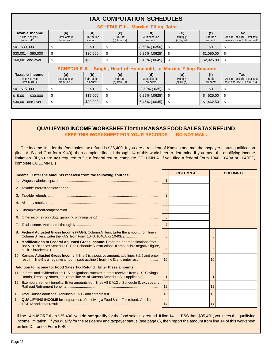|                                                      |                                          |                               | <b>TAX COMPUTATION SCHEDULES</b>    |                                  |                                                                     |                            |                                                                           |  |  |  |  |  |
|------------------------------------------------------|------------------------------------------|-------------------------------|-------------------------------------|----------------------------------|---------------------------------------------------------------------|----------------------------|---------------------------------------------------------------------------|--|--|--|--|--|
|                                                      | <b>SCHEDULE I - Married Filing Joint</b> |                               |                                     |                                  |                                                                     |                            |                                                                           |  |  |  |  |  |
| Taxable Income<br>If line 7 of your<br>Form K-40 is: | (a)<br>Enter amount<br>from line 7       | (b)<br>Subtraction<br>amount: | (c)<br>Subtract<br>(b) from $(a)$   | (d)<br>Multiplication<br>amount: | (e)<br>Multiply<br>$(c)$ by $(d)$                                   | (f)<br>Addition<br>amount: | <b>Tax</b><br>Add (e) and (f). Enter total<br>here and line 8, Form K-40. |  |  |  |  |  |
| $$0 - $30,000$                                       | \$                                       | \$0                           | \$                                  | 3.50% (.0350)                    | \$                                                                  | \$0                        | \$                                                                        |  |  |  |  |  |
| $$30,001 - $60,000$                                  | \$                                       | \$30,000                      | \$                                  | $6.25\%$ $(.0625)$               | \$                                                                  | \$1,050.00                 | \$                                                                        |  |  |  |  |  |
| \$60,001 and over                                    | \$                                       | \$60,000                      | \$                                  | $6.45\%$ (.0645)                 | \$                                                                  | \$2,925.00                 | \$                                                                        |  |  |  |  |  |
|                                                      |                                          |                               |                                     |                                  | SCHEDULE II - Single, Head of Household, or Married Filing Separate |                            |                                                                           |  |  |  |  |  |
| Taxable Income<br>If line 7 of your<br>Form K-40 is: | (a)<br>Enter amount<br>from line 7       | (b)<br>Subtraction<br>amount: | (c)<br>Subtract<br>$(b)$ from $(a)$ | (d)<br>Multiplication<br>amount: | (e)<br>Multiply<br>$(c)$ by $(d)$ .                                 | (f)<br>Addition<br>amount: | <b>Tax</b><br>Add (e) and (f). Enter total<br>here and line 8, Form K-40. |  |  |  |  |  |
| $$0 - $15,000$                                       | \$                                       | \$0                           | \$                                  | $3.50\%$ (.035)                  | \$                                                                  | \$0                        | \$                                                                        |  |  |  |  |  |
| $$15,001 - $30,000$                                  | \$                                       | \$15,000                      | \$                                  | $6.25\%$ $(.0625)$               | \$                                                                  | \$525.00                   | \$                                                                        |  |  |  |  |  |
| \$30,001 and over                                    | \$                                       | \$30,000                      | \$                                  | $6.45\%$ (.0645)                 | \$                                                                  | \$1,462.50                 | \$                                                                        |  |  |  |  |  |
|                                                      |                                          |                               |                                     |                                  |                                                                     |                            |                                                                           |  |  |  |  |  |

## **QUALIFYING INCOME WORKSHEET for the KANSAS FOOD SALES TAX REFUND**

**KEEP THIS WORKSHEET FOR YOUR RECORDS – DO NOT MAIL.** 

The income limit for the food sales tax refund is \$35,400. If you are a resident of Kansas and met the taxpayer status qualification (lines A, B and C of form K-40), then complete lines 1 through 14 of this worksheet to determine if you meet the qualifying income limitation. (If you are **not** required to file a federal return, complete COLUMN A. If you filed a federal Form 1040, 1040A or 1040EZ, complete COLUMN B.)

| Income. Enter the amounts received from the following sources:                                                                                                                        |                | <b>COLUMN A</b> |    | <b>COLUMN B</b> |
|---------------------------------------------------------------------------------------------------------------------------------------------------------------------------------------|----------------|-----------------|----|-----------------|
|                                                                                                                                                                                       | -1             |                 |    |                 |
|                                                                                                                                                                                       | $\overline{2}$ |                 |    |                 |
|                                                                                                                                                                                       | 3              |                 |    |                 |
|                                                                                                                                                                                       | $\overline{4}$ |                 |    |                 |
|                                                                                                                                                                                       | 5              |                 |    |                 |
|                                                                                                                                                                                       | 6              |                 |    |                 |
|                                                                                                                                                                                       | $\overline{7}$ |                 |    |                 |
| 8. Federal Adjusted Gross Income (FAGI). Column A filers: Enter the amount from line 7.<br>Column B filers: Enter the FAGI from Form 1040, 1040A, or 1040EZ.                          | 8              |                 | 8  |                 |
| 9. Modifications to Federal Adjusted Gross Income. Enter the net modifications from<br>line A19 of Kansas Schedule S. See Schedule S instructions. If amount is a negative figure,    | 9              |                 | 9  |                 |
| 10. Kansas Adjusted Gross Income. If line 9 is a positive amount, add lines 8 & 9 and enter<br>result. If line 9 is a negative amount, subtract line 9 from line 8, and enter result. | 10             |                 | 10 |                 |
| Addition to Income for Food Sales Tax Refund. Enter these amounts:                                                                                                                    |                |                 |    |                 |
| 11. Interest and dividends from U.S. obligations, such as interest received from U.S. Savings<br>Bonds, Treasury Notes, etc. (from line A9 of Kansas Schedule S, if applicable)       | 11             |                 | 11 |                 |
| 12. Exempt retirement benefits. Enter amounts from lines A8 & A12 of Schedule S, except any                                                                                           | 12             |                 | 12 |                 |
|                                                                                                                                                                                       | 13             |                 | 13 |                 |
| 14. QUALIFYING INCOME for the purpose of receiving a Food Sales Tax refund. Add lines                                                                                                 | 14             |                 | 14 |                 |

If line 14 is **MORE** than \$35,400, you **do not qualify** for the food sales tax refund. If line 14 is **LESS** than \$35,401, you meet the qualifying income limitation. If you qualify for the residency and taxpayer status (see page 8), then report the amount from line 14 of this worksheet on line D, front of Form K-40.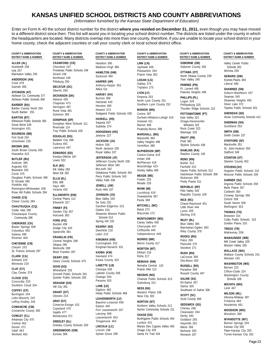## **KANSAS UNIFIED SCHOOL DISTRICTS AND COUNTY ABBREVIATIONS**

(Information furnished by the Kansas State Department of Education)

Enter on Form K-40 the school district number for the district **where you resided on December 31, 2011,** even though you may have moved to a different district since then. This list will assist you in locating your school district number. The districts are listed under the county in which the headquarters are located. Many districts overlap into more than one county, therefore, if you are unable to locate your school district in your home county, check the adjacent counties or call your county clerk or local school district office.

Valley Falls 338 Fowler 225 **Foundation Superintensity of Superintensity of Superintensity of Superintensity of Superintensity of Superintensity of Superintensity of Superintensity of Superintensity of the Schools 359 Mead** Remington-Whitewater 206 **MIAMI (MI) REPUBLIC (RP)** Belle Plaine 357 Victoria 432 Rock Hills 107 Pike Valley 426 Caldwell 360

Riverton 404 **FRANKLIN (FR) ROOKS (RO) WABAUNSEE (WB)** 

**BARTON (BT)**<br>
Ellinwood Public Schools 355 **DONIPHAN (DP) HASKELL (HS)** Durham-Hillsboro-Lehigh 410 Kaw Valley 321 Hoxie Community Schools 412<br>
Ellinwood Public Schools 355 Doniphan West Schools 111 Satanta 507 Goessel

Exercion 404 Central Heights 288 KINGMAN (KM) MORRIS (MR) Palco 269 Marchiosophe MARIS (WB)<br>CHEYENNE (CN) Central Heights 288 Cunningham 332 Morris County 417 Plainville 270 Mill Creek Valley 339<br>Cheylin 103 Wellsville 289

St. Francis Schools 297 West Franklin 287 **WALLACE (WA) KIOWA (KW)** Elkhart 218 **RUSH (RH)** Wallace County Schools 241 **CLARK (CA) GEARY (GE)** Haviland 474 Rolla 217 LaCrosse 395 Weskan 242 Ashland 220 Kiowa County 422 Geary County Schools 475 **NEMAHA (NM)** Otis-Bison 403

Minneola 219<br>
CLAY (CY)<br>
CLAY (CY)<br>
Clay Center 379<br>
Clay Center 379<br>
Clay Center 379<br>
Clay Center 379<br>
Clay Center 379<br>
Clay Center 379<br>
Clay Center 379<br>
Clay Center 379<br>
Clay Center 379<br>
Clay Center 379<br>
Clay Center 379<br>

**DISTRICT NAME & NUMBER DISTRICT NAME & NUMBER DISTRICT NAME & NUMBER DISTRICT NAME & NUMBER DISTRICT NAME & NUMBER DISTRICT NAME & NUMBER** 

Iola 257<br>
Marmiton Valley 256 Firard 248<br>
Marmiton Valley 256 Firard 248<br>
Marmiton Valley 256 Firard 248<br>
Crest 479 Pittsburg 250 HAMILTON (HM)<br>
Crest 479 Pittsburg 250 HARPER (HP) LOGAN (LG)<br>
Crest 479 Pittsburg 250 HARP

Rose Hill Public Schools 394<br>
CHASE (CS) Chase County 109 Central Plains 112 Blue Valley 229<br>
Chase County 284 Ellsworth 327 De Soto 232 Paola 368 Republic County 109 Conway Springs 3<br>
Chase County 284 Ellsworth 327 De Sot Gardner-Edgerton 231 **MITCHELL (MC) CHAUTAUQUA (CQ) FINNEY (FI)** Little River 444 Wellington 353 Cedar Vale 285<br>
Chautauqua County<br>
Chautauqua County<br>
Community 286<br>
Community 286<br>
Community 286<br>
CHEROKEE (CK)<br>
CHEROKEE (CK)<br>
CHEROKEE (CK)<br>
CHEROKEE (CK)<br>
CHEROKEE (CK)<br>
CHEROKEE (CK)<br>
CHEROKEE (CK)<br>
CHEROKEE (CK)<br>
CHE

Lebo-Waverly 243 Altoona-Midway 387 **LEAVENWORTH (LV)** Scott County 466 LeRoy-Gridley 245 **GRAY (GY)** Basehor-Linwood 458 **NORTON (NT)** Fredonia 484

Maria Maria (MS) Maria (MS) Wamego 320 SMITH (SM) Troy Public Schools 429 HODGEMAN (HG) MARSHALL (MS) Wamego 320 SMITH (SM) SMITH (SM)<br>
Fort Scott 234 DOUGLAS (DG) Jetmore 227 Marysville 364 PRATT (PR) Smith Center 237<br>
Un

**BROWN (BR)**<br>
Eudora 491<br>
South Brown County 430<br>
Hiawatha 415<br>
Hiawatha 415<br>
EDWARDS (ED)<br>
EDWARDS (ED)<br>
EDWARDS (ED)<br>
EDWARDS (ED)<br>
Royal Valley 337<br>
North Jackson 335<br>
North Jackson 335<br>
McPHERSON (MP)<br>
Canton-Galva 419

FINE VALUE AND THE PERSON CONSULTED THE VALUE OF THE VALUE VALUE VALUE VALUE VALUE VALUE VALUE VALUE VALUE VALU<br> **ELLSWORTH (EW) JOHNSON (JO)** Osawatomie 367 Republic County 109 Conway Springs 356<br>
Central Plains 112 Blu

**KEARNY (KE)** Cherryvale 447<br>Deerfield 216 **Coffeyville 445 CHEROKEE (CK)** Bucklin 459 Bucklin 459 Bucklin 159 Blue Valley 384 Golden Plains 316 Baxter Springs 508 Dodge City 443 Manhattan-Ogden 383 **TREGO (TR)** Columbus 493 Deerfield 216 Coffeyville 445 Spearville 381 Riley County 378 WaKeeney 208 Galena 499 Lakin 215 Independence 446

**COFFEY (CF)** Dighton 482 Southeast of Saline 306 **GRANT (GT)** Western Plains 106 Healy Public Schools 468 **WILSON (WL)** Ulysses 214 Ness City 303 **SCOTT (SC)** Burlington 244

Cimarron-Ensign 102 **SEDGWICK (SG)** Neodesha 461 Easton 449 Northern Valley Schools 212 **COMANCHE (CM)** Copeland 476 Cheney 268 Copeland 476 Fort Leavenworth 207 Norton Community Schools 211 Cheney 268 W**OODSON (WO)**<br>Clearwater 264 Meads and the state of the state of the Meads of the Meads of the Meads of the Meads of the team COWLEY (CL)<br>
Montezuma 371 Lansing 469 COS COS DEPby 260<br>
Arkansas City 470 GREELEY (GL) Tonganoxie 464 Burlingame Public Schools 454 Goddard 265 WYANDOTTE (WY)<br>
Central 462 Greeley County Schools 200 LINCOLN (LC) Marais D Udall 463 **GREENWOOD (GW)** Lincoln 298 Osage City 420 Mulvane 263 Piper-Kansas City 203<br>Winfield 465 Eureka 389 Sylvan Grove 299 Santa Fe Trail 434 Renwick 267 Turner-Kansas City 203

**COUNTY & ABBREVIATION COUNTY & ABBREVIATION COUNTY & ABBREVIATION COUNTY & ABBREVIATION COUNTY & ABBREVIATION COUNTY & ABBREVIATION** 

**ALLEN (AL) CRAWFORD (CR)** Hamilton 390 **LINN (LN) OSBORNE (OB)** Valley Center Public Humboldt 258 Cherokee 247 Madison-Virgil 386 Jayhawk 346 Osborne County 392 Schools 262

Augusta 402<br>
Augusta 402<br>
Bluestem 205 Elk Valley 283 McLouth 342 McLouth 342<br>
Circle 375 West Elk 282 Oskaloosa Public Schools 341 Smoky Valley 400 Haven Public Schools 312 Hugoton Public Schools 210<br>
Circle 375 West Elk

Turner-Kansas City 202

Page 23